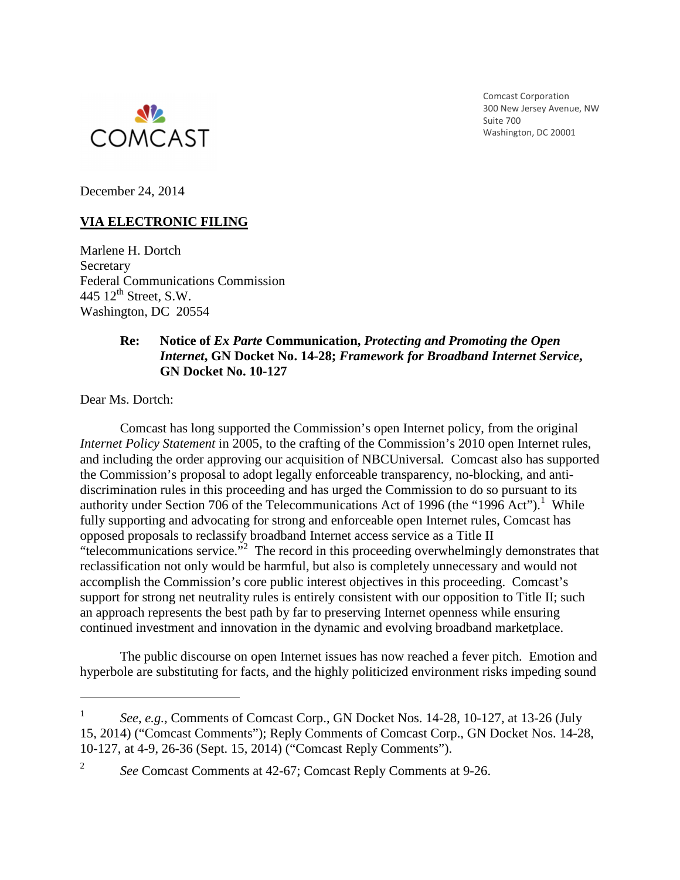

Comcast Corporation 300 New Jersey Avenue, NW Suite 700 Washington, DC 20001

December 24, 2014

# **VIA ELECTRONIC FILING**

Marlene H. Dortch Secretary Federal Communications Commission 445  $12^{\text{th}}$  Street, S.W. Washington, DC 20554

#### **Re: Notice of** *Ex Parte* **Communication,** *Protecting and Promoting the Open Internet***, GN Docket No. 14-28;** *Framework for Broadband Internet Service***, GN Docket No. 10-127**

Dear Ms. Dortch:

l

2

 Comcast has long supported the Commission's open Internet policy, from the original *Internet Policy Statement* in 2005, to the crafting of the Commission's 2010 open Internet rules, and including the order approving our acquisition of NBCUniversal*.* Comcast also has supported the Commission's proposal to adopt legally enforceable transparency, no-blocking, and antidiscrimination rules in this proceeding and has urged the Commission to do so pursuant to its authority under Section 706 of the Telecommunications Act of 1996 (the "1996 Act").<sup>1</sup> While fully supporting and advocating for strong and enforceable open Internet rules, Comcast has opposed proposals to reclassify broadband Internet access service as a Title II "telecommunications service."<sup>2</sup> The record in this proceeding overwhelmingly demonstrates that reclassification not only would be harmful, but also is completely unnecessary and would not accomplish the Commission's core public interest objectives in this proceeding. Comcast's support for strong net neutrality rules is entirely consistent with our opposition to Title II; such an approach represents the best path by far to preserving Internet openness while ensuring continued investment and innovation in the dynamic and evolving broadband marketplace.

 The public discourse on open Internet issues has now reached a fever pitch. Emotion and hyperbole are substituting for facts, and the highly politicized environment risks impeding sound

<sup>1</sup> *See*, *e.g.*, Comments of Comcast Corp., GN Docket Nos. 14-28, 10-127, at 13-26 (July 15, 2014) ("Comcast Comments"); Reply Comments of Comcast Corp., GN Docket Nos. 14-28, 10-127, at 4-9, 26-36 (Sept. 15, 2014) ("Comcast Reply Comments").

*See* Comcast Comments at 42-67; Comcast Reply Comments at 9-26.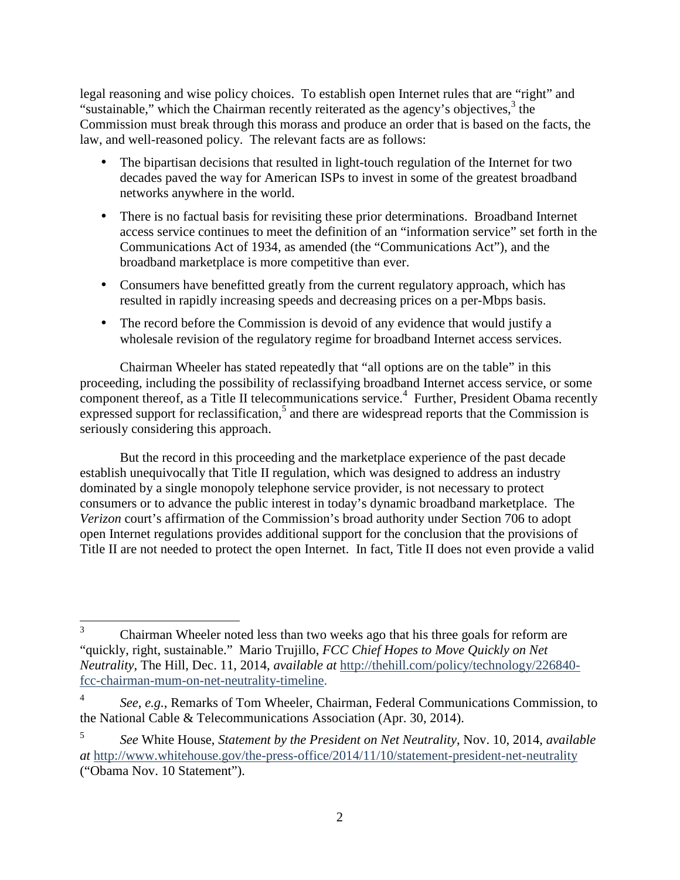legal reasoning and wise policy choices. To establish open Internet rules that are "right" and "sustainable," which the Chairman recently reiterated as the agency's objectives,<sup>3</sup> the Commission must break through this morass and produce an order that is based on the facts, the law, and well-reasoned policy. The relevant facts are as follows:

- The bipartisan decisions that resulted in light-touch regulation of the Internet for two decades paved the way for American ISPs to invest in some of the greatest broadband networks anywhere in the world.
- There is no factual basis for revisiting these prior determinations. Broadband Internet access service continues to meet the definition of an "information service" set forth in the Communications Act of 1934, as amended (the "Communications Act"), and the broadband marketplace is more competitive than ever.
- Consumers have benefitted greatly from the current regulatory approach, which has resulted in rapidly increasing speeds and decreasing prices on a per-Mbps basis.
- The record before the Commission is devoid of any evidence that would justify a wholesale revision of the regulatory regime for broadband Internet access services.

Chairman Wheeler has stated repeatedly that "all options are on the table" in this proceeding, including the possibility of reclassifying broadband Internet access service, or some component thereof, as a Title II telecommunications service.<sup>4</sup> Further, President Obama recently expressed support for reclassification,<sup>5</sup> and there are widespread reports that the Commission is seriously considering this approach.

 But the record in this proceeding and the marketplace experience of the past decade establish unequivocally that Title II regulation, which was designed to address an industry dominated by a single monopoly telephone service provider, is not necessary to protect consumers or to advance the public interest in today's dynamic broadband marketplace. The *Verizon* court's affirmation of the Commission's broad authority under Section 706 to adopt open Internet regulations provides additional support for the conclusion that the provisions of Title II are not needed to protect the open Internet. In fact, Title II does not even provide a valid

<u>.</u>

<sup>3</sup> Chairman Wheeler noted less than two weeks ago that his three goals for reform are "quickly, right, sustainable." Mario Trujillo, *FCC Chief Hopes to Move Quickly on Net Neutrality*, The Hill, Dec. 11, 2014, *available at* http://thehill.com/policy/technology/226840 fcc-chairman-mum-on-net-neutrality-timeline.

<sup>4</sup> *See*, *e.g.*, Remarks of Tom Wheeler, Chairman, Federal Communications Commission, to the National Cable & Telecommunications Association (Apr. 30, 2014).

<sup>5</sup> *See* White House, *Statement by the President on Net Neutrality*, Nov. 10, 2014, *available at* http://www.whitehouse.gov/the-press-office/2014/11/10/statement-president-net-neutrality ("Obama Nov. 10 Statement").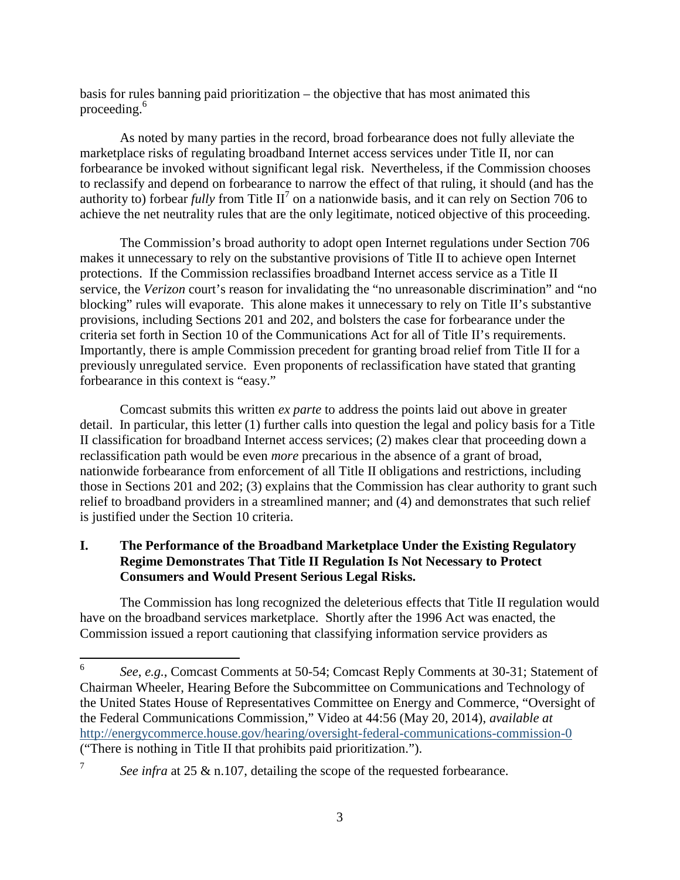basis for rules banning paid prioritization – the objective that has most animated this proceeding.<sup>6</sup>

As noted by many parties in the record, broad forbearance does not fully alleviate the marketplace risks of regulating broadband Internet access services under Title II, nor can forbearance be invoked without significant legal risk. Nevertheless, if the Commission chooses to reclassify and depend on forbearance to narrow the effect of that ruling, it should (and has the authority to) forbear *fully* from Title  $II^7$  on a nationwide basis, and it can rely on Section 706 to achieve the net neutrality rules that are the only legitimate, noticed objective of this proceeding.

The Commission's broad authority to adopt open Internet regulations under Section 706 makes it unnecessary to rely on the substantive provisions of Title II to achieve open Internet protections. If the Commission reclassifies broadband Internet access service as a Title II service, the *Verizon* court's reason for invalidating the "no unreasonable discrimination" and "no blocking" rules will evaporate. This alone makes it unnecessary to rely on Title II's substantive provisions, including Sections 201 and 202, and bolsters the case for forbearance under the criteria set forth in Section 10 of the Communications Act for all of Title II's requirements. Importantly, there is ample Commission precedent for granting broad relief from Title II for a previously unregulated service. Even proponents of reclassification have stated that granting forbearance in this context is "easy."

Comcast submits this written *ex parte* to address the points laid out above in greater detail. In particular, this letter (1) further calls into question the legal and policy basis for a Title II classification for broadband Internet access services; (2) makes clear that proceeding down a reclassification path would be even *more* precarious in the absence of a grant of broad, nationwide forbearance from enforcement of all Title II obligations and restrictions, including those in Sections 201 and 202; (3) explains that the Commission has clear authority to grant such relief to broadband providers in a streamlined manner; and (4) and demonstrates that such relief is justified under the Section 10 criteria.

## **I. The Performance of the Broadband Marketplace Under the Existing Regulatory Regime Demonstrates That Title II Regulation Is Not Necessary to Protect Consumers and Would Present Serious Legal Risks.**

The Commission has long recognized the deleterious effects that Title II regulation would have on the broadband services marketplace. Shortly after the 1996 Act was enacted, the Commission issued a report cautioning that classifying information service providers as

 $\frac{1}{6}$  *See*, *e.g.*, Comcast Comments at 50-54; Comcast Reply Comments at 30-31; Statement of Chairman Wheeler, Hearing Before the Subcommittee on Communications and Technology of the United States House of Representatives Committee on Energy and Commerce, "Oversight of the Federal Communications Commission," Video at 44:56 (May 20, 2014), *available at* http://energycommerce.house.gov/hearing/oversight-federal-communications-commission-0 ("There is nothing in Title II that prohibits paid prioritization.").

<sup>7</sup> *See infra* at 25 & n.107, detailing the scope of the requested forbearance.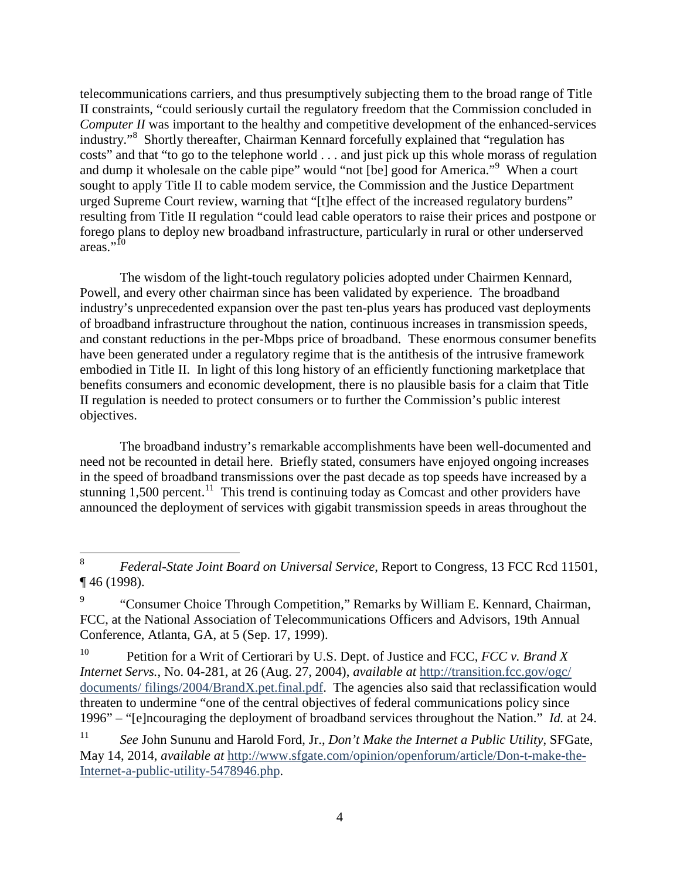telecommunications carriers, and thus presumptively subjecting them to the broad range of Title II constraints, "could seriously curtail the regulatory freedom that the Commission concluded in *Computer II* was important to the healthy and competitive development of the enhanced-services industry."<sup>8</sup> Shortly thereafter, Chairman Kennard forcefully explained that "regulation has costs" and that "to go to the telephone world . . . and just pick up this whole morass of regulation and dump it wholesale on the cable pipe" would "not [be] good for America."<sup>9</sup> When a court sought to apply Title II to cable modem service, the Commission and the Justice Department urged Supreme Court review, warning that "[t]he effect of the increased regulatory burdens" resulting from Title II regulation "could lead cable operators to raise their prices and postpone or forego plans to deploy new broadband infrastructure, particularly in rural or other underserved areas." $^{10}$ 

The wisdom of the light-touch regulatory policies adopted under Chairmen Kennard, Powell, and every other chairman since has been validated by experience. The broadband industry's unprecedented expansion over the past ten-plus years has produced vast deployments of broadband infrastructure throughout the nation, continuous increases in transmission speeds, and constant reductions in the per-Mbps price of broadband. These enormous consumer benefits have been generated under a regulatory regime that is the antithesis of the intrusive framework embodied in Title II. In light of this long history of an efficiently functioning marketplace that benefits consumers and economic development, there is no plausible basis for a claim that Title II regulation is needed to protect consumers or to further the Commission's public interest objectives.

 The broadband industry's remarkable accomplishments have been well-documented and need not be recounted in detail here. Briefly stated, consumers have enjoyed ongoing increases in the speed of broadband transmissions over the past decade as top speeds have increased by a stunning  $1,500$  percent.<sup>11</sup> This trend is continuing today as Comcast and other providers have announced the deployment of services with gigabit transmission speeds in areas throughout the

 $\frac{1}{8}$  *Federal-State Joint Board on Universal Service*, Report to Congress, 13 FCC Rcd 11501, ¶ 46 (1998).

<sup>9</sup> "Consumer Choice Through Competition," Remarks by William E. Kennard, Chairman, FCC, at the National Association of Telecommunications Officers and Advisors, 19th Annual Conference, Atlanta, GA, at 5 (Sep. 17, 1999).

<sup>10</sup> Petition for a Writ of Certiorari by U.S. Dept. of Justice and FCC, *FCC v. Brand X Internet Servs.*, No. 04-281, at 26 (Aug. 27, 2004), *available at* http://transition.fcc.gov/ogc/ documents/ filings/2004/BrandX.pet.final.pdf. The agencies also said that reclassification would threaten to undermine "one of the central objectives of federal communications policy since 1996" – "[e]ncouraging the deployment of broadband services throughout the Nation." *Id.* at 24.

<sup>11</sup> *See* John Sununu and Harold Ford, Jr., *Don't Make the Internet a Public Utility*, SFGate, May 14, 2014, *available at* http://www.sfgate.com/opinion/openforum/article/Don-t-make-the-Internet-a-public-utility-5478946.php.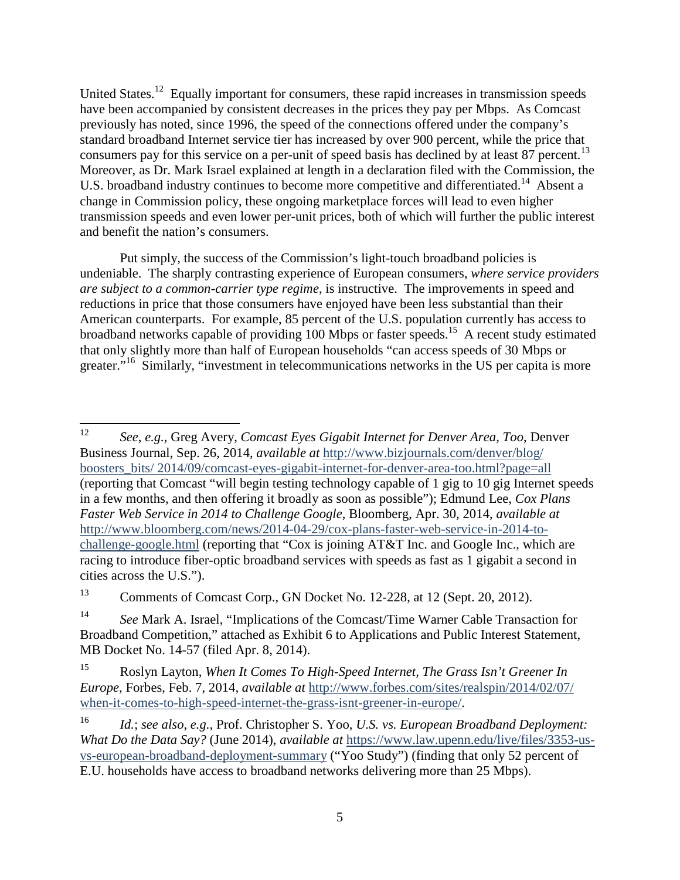United States.<sup>12</sup> Equally important for consumers, these rapid increases in transmission speeds have been accompanied by consistent decreases in the prices they pay per Mbps. As Comcast previously has noted, since 1996, the speed of the connections offered under the company's standard broadband Internet service tier has increased by over 900 percent, while the price that consumers pay for this service on a per-unit of speed basis has declined by at least  $87$  percent.<sup>13</sup> Moreover, as Dr. Mark Israel explained at length in a declaration filed with the Commission, the U.S. broadband industry continues to become more competitive and differentiated.<sup>14</sup> Absent a change in Commission policy, these ongoing marketplace forces will lead to even higher transmission speeds and even lower per-unit prices, both of which will further the public interest and benefit the nation's consumers.

Put simply, the success of the Commission's light-touch broadband policies is undeniable. The sharply contrasting experience of European consumers, *where service providers are subject to a common-carrier type regime*, is instructive. The improvements in speed and reductions in price that those consumers have enjoyed have been less substantial than their American counterparts. For example, 85 percent of the U.S. population currently has access to broadband networks capable of providing 100 Mbps or faster speeds.<sup>15</sup> A recent study estimated that only slightly more than half of European households "can access speeds of 30 Mbps or greater."<sup>16</sup> Similarly, "investment in telecommunications networks in the US per capita is more

<sup>13</sup> Comments of Comcast Corp., GN Docket No. 12-228, at 12 (Sept. 20, 2012).

 $\frac{1}{12}$  *See*, *e.g.*, Greg Avery, *Comcast Eyes Gigabit Internet for Denver Area, Too*, Denver Business Journal, Sep. 26, 2014, *available at* http://www.bizjournals.com/denver/blog/ boosters\_bits/ 2014/09/comcast-eyes-gigabit-internet-for-denver-area-too.html?page=all (reporting that Comcast "will begin testing technology capable of 1 gig to 10 gig Internet speeds in a few months, and then offering it broadly as soon as possible"); Edmund Lee, *Cox Plans Faster Web Service in 2014 to Challenge Google*, Bloomberg, Apr. 30, 2014, *available at*  http://www.bloomberg.com/news/2014-04-29/cox-plans-faster-web-service-in-2014-tochallenge-google.html (reporting that "Cox is joining AT&T Inc. and Google Inc., which are racing to introduce fiber-optic broadband services with speeds as fast as 1 gigabit a second in cities across the U.S.").

<sup>14</sup> *See* Mark A. Israel, "Implications of the Comcast/Time Warner Cable Transaction for Broadband Competition," attached as Exhibit 6 to Applications and Public Interest Statement, MB Docket No. 14-57 (filed Apr. 8, 2014).

<sup>15</sup> Roslyn Layton, *When It Comes To High-Speed Internet, The Grass Isn't Greener In Europe*, Forbes, Feb. 7, 2014, *available at* http://www.forbes.com/sites/realspin/2014/02/07/ when-it-comes-to-high-speed-internet-the-grass-isnt-greener-in-europe/.

<sup>16</sup> *Id.*; *see also*, *e.g.*, Prof. Christopher S. Yoo, *U.S. vs. European Broadband Deployment: What Do the Data Say?* (June 2014), *available at* https://www.law.upenn.edu/live/files/3353-usvs-european-broadband-deployment-summary ("Yoo Study") (finding that only 52 percent of E.U. households have access to broadband networks delivering more than 25 Mbps).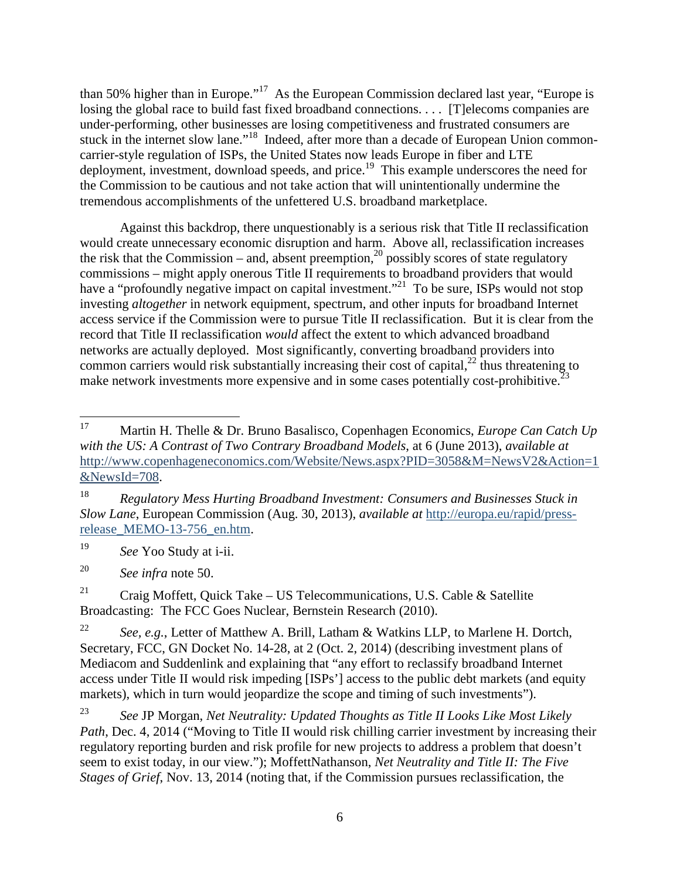than 50% higher than in Europe."<sup>17</sup> As the European Commission declared last year, "Europe is losing the global race to build fast fixed broadband connections. . . . [T] elecoms companies are under-performing, other businesses are losing competitiveness and frustrated consumers are stuck in the internet slow lane."<sup>18</sup> Indeed, after more than a decade of European Union commoncarrier-style regulation of ISPs, the United States now leads Europe in fiber and LTE deployment, investment, download speeds, and price.<sup>19</sup> This example underscores the need for the Commission to be cautious and not take action that will unintentionally undermine the tremendous accomplishments of the unfettered U.S. broadband marketplace.

Against this backdrop, there unquestionably is a serious risk that Title II reclassification would create unnecessary economic disruption and harm. Above all, reclassification increases the risk that the Commission – and, absent preemption,<sup>20</sup> possibly scores of state regulatory commissions – might apply onerous Title II requirements to broadband providers that would have a "profoundly negative impact on capital investment."<sup>21</sup> To be sure, ISPs would not stop investing *altogether* in network equipment, spectrum, and other inputs for broadband Internet access service if the Commission were to pursue Title II reclassification. But it is clear from the record that Title II reclassification *would* affect the extent to which advanced broadband networks are actually deployed. Most significantly, converting broadband providers into common carriers would risk substantially increasing their cost of capital, $^{22}$  thus threatening to make network investments more expensive and in some cases potentially cost-prohibitive. $^{23}$ 

19 *See* Yoo Study at i-ii.

20 *See infra* note 50.

<sup>21</sup> Craig Moffett, Quick Take – US Telecommunications, U.S. Cable & Satellite Broadcasting: The FCC Goes Nuclear, Bernstein Research (2010).

<sup>17</sup> <sup>17</sup> Martin H. Thelle & Dr. Bruno Basalisco, Copenhagen Economics, *Europe Can Catch Up with the US: A Contrast of Two Contrary Broadband Models*, at 6 (June 2013), *available at*  http://www.copenhageneconomics.com/Website/News.aspx?PID=3058&M=NewsV2&Action=1 &NewsId=708.

<sup>18</sup> *Regulatory Mess Hurting Broadband Investment: Consumers and Businesses Stuck in Slow Lane*, European Commission (Aug. 30, 2013), *available at* http://europa.eu/rapid/pressrelease\_MEMO-13-756\_en.htm.

<sup>22</sup> *See, e.g.*, Letter of Matthew A. Brill, Latham & Watkins LLP, to Marlene H. Dortch, Secretary, FCC, GN Docket No. 14-28, at 2 (Oct. 2, 2014) (describing investment plans of Mediacom and Suddenlink and explaining that "any effort to reclassify broadband Internet access under Title II would risk impeding [ISPs'] access to the public debt markets (and equity markets), which in turn would jeopardize the scope and timing of such investments").

<sup>23</sup> *See* JP Morgan, *Net Neutrality: Updated Thoughts as Title II Looks Like Most Likely Path*, Dec. 4, 2014 ("Moving to Title II would risk chilling carrier investment by increasing their regulatory reporting burden and risk profile for new projects to address a problem that doesn't seem to exist today, in our view."); MoffettNathanson, *Net Neutrality and Title II: The Five Stages of Grief*, Nov. 13, 2014 (noting that, if the Commission pursues reclassification, the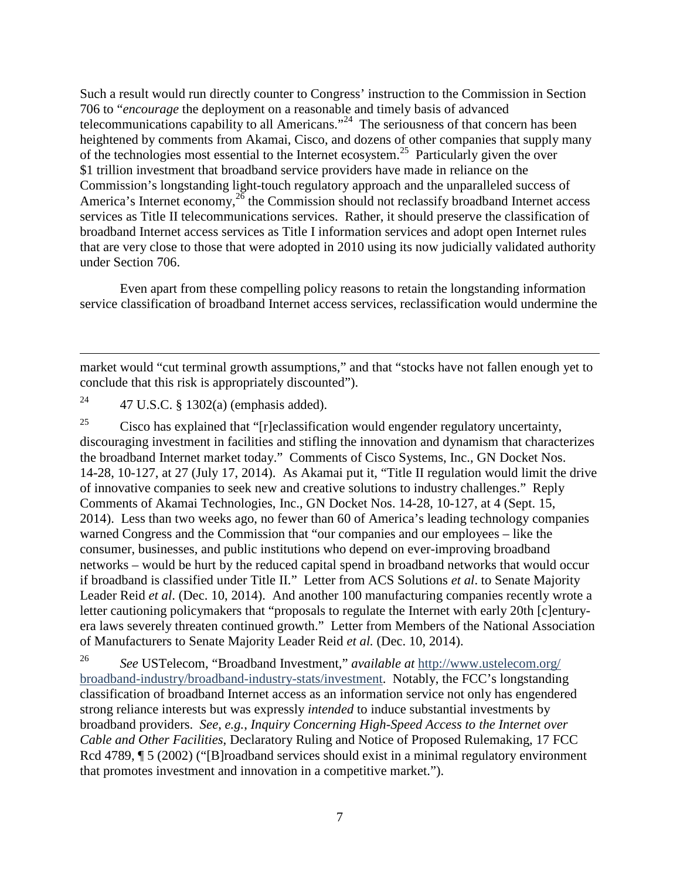Such a result would run directly counter to Congress' instruction to the Commission in Section 706 to "*encourage* the deployment on a reasonable and timely basis of advanced telecommunications capability to all Americans."<sup>24</sup> The seriousness of that concern has been heightened by comments from Akamai, Cisco, and dozens of other companies that supply many of the technologies most essential to the Internet ecosystem.<sup>25</sup> Particularly given the over \$1 trillion investment that broadband service providers have made in reliance on the Commission's longstanding light-touch regulatory approach and the unparalleled success of America's Internet economy,  $26$  the Commission should not reclassify broadband Internet access services as Title II telecommunications services. Rather, it should preserve the classification of broadband Internet access services as Title I information services and adopt open Internet rules that are very close to those that were adopted in 2010 using its now judicially validated authority under Section 706.

Even apart from these compelling policy reasons to retain the longstanding information service classification of broadband Internet access services, reclassification would undermine the

market would "cut terminal growth assumptions," and that "stocks have not fallen enough yet to conclude that this risk is appropriately discounted").

<sup>24</sup> 47 U.S.C. § 1302(a) (emphasis added).

-

<sup>25</sup> Cisco has explained that " $[r]$ eclassification would engender regulatory uncertainty, discouraging investment in facilities and stifling the innovation and dynamism that characterizes the broadband Internet market today." Comments of Cisco Systems, Inc., GN Docket Nos. 14-28, 10-127, at 27 (July 17, 2014). As Akamai put it, "Title II regulation would limit the drive of innovative companies to seek new and creative solutions to industry challenges." Reply Comments of Akamai Technologies, Inc., GN Docket Nos. 14-28, 10-127, at 4 (Sept. 15, 2014). Less than two weeks ago, no fewer than 60 of America's leading technology companies warned Congress and the Commission that "our companies and our employees – like the consumer, businesses, and public institutions who depend on ever-improving broadband networks – would be hurt by the reduced capital spend in broadband networks that would occur if broadband is classified under Title II." Letter from ACS Solutions *et al*. to Senate Majority Leader Reid *et al*. (Dec. 10, 2014). And another 100 manufacturing companies recently wrote a letter cautioning policymakers that "proposals to regulate the Internet with early 20th [c]enturyera laws severely threaten continued growth." Letter from Members of the National Association of Manufacturers to Senate Majority Leader Reid *et al.* (Dec. 10, 2014).

26 *See* USTelecom, "Broadband Investment," *available at* http://www.ustelecom.org/ broadband-industry/broadband-industry-stats/investment. Notably, the FCC's longstanding classification of broadband Internet access as an information service not only has engendered strong reliance interests but was expressly *intended* to induce substantial investments by broadband providers. *See*, *e.g.*, *Inquiry Concerning High-Speed Access to the Internet over Cable and Other Facilities*, Declaratory Ruling and Notice of Proposed Rulemaking, 17 FCC Rcd 4789,  $\sqrt{5}$  (2002) ("[B]roadband services should exist in a minimal regulatory environment that promotes investment and innovation in a competitive market.").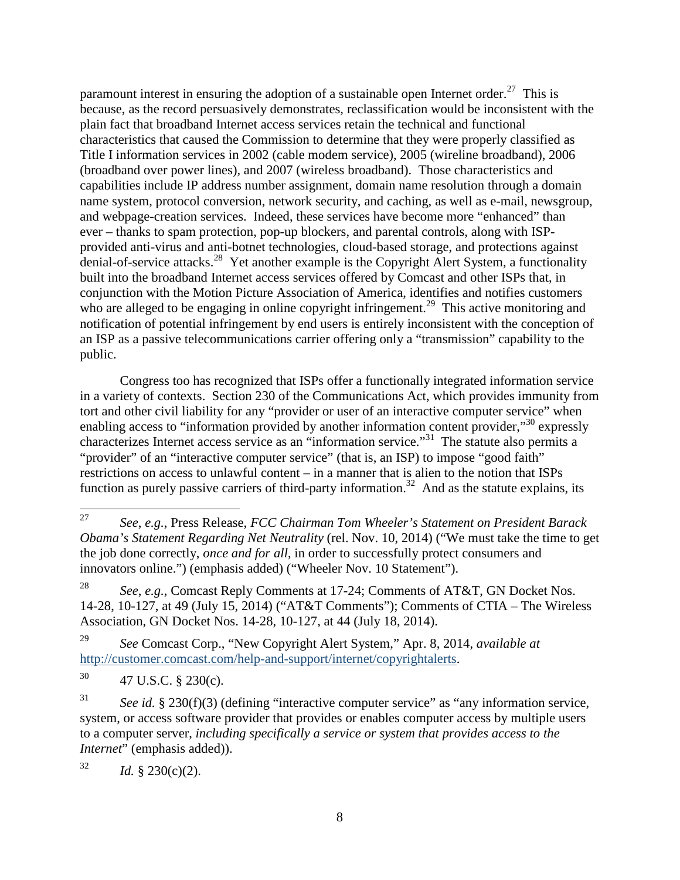paramount interest in ensuring the adoption of a sustainable open Internet order.<sup>27</sup> This is because, as the record persuasively demonstrates, reclassification would be inconsistent with the plain fact that broadband Internet access services retain the technical and functional characteristics that caused the Commission to determine that they were properly classified as Title I information services in 2002 (cable modem service), 2005 (wireline broadband), 2006 (broadband over power lines), and 2007 (wireless broadband). Those characteristics and capabilities include IP address number assignment, domain name resolution through a domain name system, protocol conversion, network security, and caching, as well as e-mail, newsgroup, and webpage-creation services. Indeed, these services have become more "enhanced" than ever – thanks to spam protection, pop-up blockers, and parental controls, along with ISPprovided anti-virus and anti-botnet technologies, cloud-based storage, and protections against denial-of-service attacks.<sup>28</sup> Yet another example is the Copyright Alert System, a functionality built into the broadband Internet access services offered by Comcast and other ISPs that, in conjunction with the Motion Picture Association of America, identifies and notifies customers who are alleged to be engaging in online copyright infringement.<sup>29</sup> This active monitoring and notification of potential infringement by end users is entirely inconsistent with the conception of an ISP as a passive telecommunications carrier offering only a "transmission" capability to the public.

Congress too has recognized that ISPs offer a functionally integrated information service in a variety of contexts. Section 230 of the Communications Act, which provides immunity from tort and other civil liability for any "provider or user of an interactive computer service" when enabling access to "information provided by another information content provider,"<sup>30</sup> expressly characterizes Internet access service as an "information service."<sup>31</sup> The statute also permits a "provider" of an "interactive computer service" (that is, an ISP) to impose "good faith" restrictions on access to unlawful content – in a manner that is alien to the notion that ISPs function as purely passive carriers of third-party information.<sup>32</sup> And as the statute explains, its

32 *Id.* § 230(c)(2).

 $\frac{1}{27}$  *See*, *e.g.*, Press Release, *FCC Chairman Tom Wheeler's Statement on President Barack Obama's Statement Regarding Net Neutrality* (rel. Nov. 10, 2014) ("We must take the time to get the job done correctly, *once and for all*, in order to successfully protect consumers and innovators online.") (emphasis added) ("Wheeler Nov. 10 Statement").

<sup>28</sup> *See*, *e.g.*, Comcast Reply Comments at 17-24; Comments of AT&T, GN Docket Nos. 14-28, 10-127, at 49 (July 15, 2014) ("AT&T Comments"); Comments of CTIA – The Wireless Association, GN Docket Nos. 14-28, 10-127, at 44 (July 18, 2014).

<sup>29</sup> *See* Comcast Corp., "New Copyright Alert System," Apr. 8, 2014, *available at*  http://customer.comcast.com/help-and-support/internet/copyrightalerts.

 $^{30}$  47 U.S.C. § 230(c).

<sup>31</sup> *See id.* § 230(f)(3) (defining "interactive computer service" as "any information service, system, or access software provider that provides or enables computer access by multiple users to a computer server, *including specifically a service or system that provides access to the Internet*" (emphasis added)).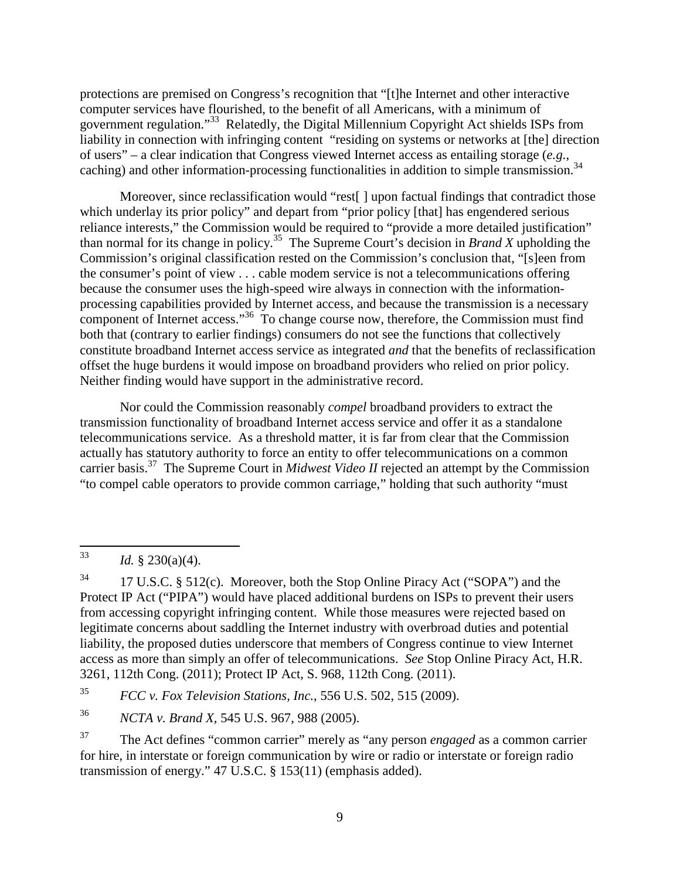protections are premised on Congress's recognition that "[t]he Internet and other interactive computer services have flourished, to the benefit of all Americans, with a minimum of government regulation."<sup>33</sup> Relatedly, the Digital Millennium Copyright Act shields ISPs from liability in connection with infringing content "residing on systems or networks at [the] direction of users" – a clear indication that Congress viewed Internet access as entailing storage (*e.g.*, caching) and other information-processing functionalities in addition to simple transmission.<sup>34</sup>

Moreover, since reclassification would "rest[] upon factual findings that contradict those which underlay its prior policy" and depart from "prior policy [that] has engendered serious reliance interests," the Commission would be required to "provide a more detailed justification" than normal for its change in policy.<sup>35</sup> The Supreme Court's decision in *Brand X* upholding the Commission's original classification rested on the Commission's conclusion that, "[s]een from the consumer's point of view . . . cable modem service is not a telecommunications offering because the consumer uses the high-speed wire always in connection with the informationprocessing capabilities provided by Internet access, and because the transmission is a necessary component of Internet access."<sup>36</sup> To change course now, therefore, the Commission must find both that (contrary to earlier findings) consumers do not see the functions that collectively constitute broadband Internet access service as integrated *and* that the benefits of reclassification offset the huge burdens it would impose on broadband providers who relied on prior policy. Neither finding would have support in the administrative record.

Nor could the Commission reasonably *compel* broadband providers to extract the transmission functionality of broadband Internet access service and offer it as a standalone telecommunications service. As a threshold matter, it is far from clear that the Commission actually has statutory authority to force an entity to offer telecommunications on a common carrier basis.<sup>37</sup> The Supreme Court in *Midwest Video II* rejected an attempt by the Commission "to compel cable operators to provide common carriage," holding that such authority "must

<sup>34</sup> 17 U.S.C. § 512(c). Moreover, both the Stop Online Piracy Act ("SOPA") and the Protect IP Act ("PIPA") would have placed additional burdens on ISPs to prevent their users from accessing copyright infringing content. While those measures were rejected based on legitimate concerns about saddling the Internet industry with overbroad duties and potential liability, the proposed duties underscore that members of Congress continue to view Internet access as more than simply an offer of telecommunications. *See* Stop Online Piracy Act, H.R. 3261, 112th Cong. (2011); Protect IP Act, S. 968, 112th Cong. (2011).

35 *FCC v. Fox Television Stations, Inc.*, 556 U.S. 502, 515 (2009).

36 *NCTA v. Brand X*, 545 U.S. 967, 988 (2005).

<sup>37</sup> The Act defines "common carrier" merely as "any person *engaged* as a common carrier for hire, in interstate or foreign communication by wire or radio or interstate or foreign radio transmission of energy." 47 U.S.C. § 153(11) (emphasis added).

 $\frac{1}{33}$ *Id.* § 230(a)(4).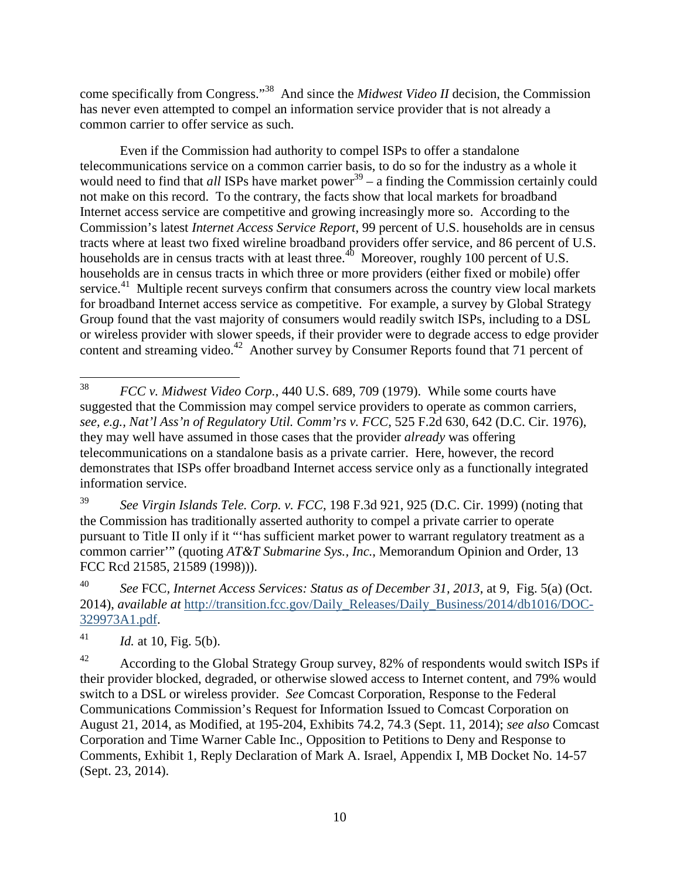come specifically from Congress."<sup>38</sup> And since the *Midwest Video II* decision, the Commission has never even attempted to compel an information service provider that is not already a common carrier to offer service as such.

Even if the Commission had authority to compel ISPs to offer a standalone telecommunications service on a common carrier basis, to do so for the industry as a whole it would need to find that *all* ISPs have market power<sup>39</sup> – a finding the Commission certainly could not make on this record. To the contrary, the facts show that local markets for broadband Internet access service are competitive and growing increasingly more so. According to the Commission's latest *Internet Access Service Report*, 99 percent of U.S. households are in census tracts where at least two fixed wireline broadband providers offer service, and 86 percent of U.S. households are in census tracts with at least three.<sup>40</sup> Moreover, roughly 100 percent of U.S. households are in census tracts in which three or more providers (either fixed or mobile) offer service.<sup>41</sup> Multiple recent surveys confirm that consumers across the country view local markets for broadband Internet access service as competitive. For example, a survey by Global Strategy Group found that the vast majority of consumers would readily switch ISPs, including to a DSL or wireless provider with slower speeds, if their provider were to degrade access to edge provider content and streaming video.<sup>42</sup> Another survey by Consumer Reports found that 71 percent of

39 *See Virgin Islands Tele. Corp. v. FCC*, 198 F.3d 921, 925 (D.C. Cir. 1999) (noting that the Commission has traditionally asserted authority to compel a private carrier to operate pursuant to Title II only if it "'has sufficient market power to warrant regulatory treatment as a common carrier'" (quoting *AT&T Submarine Sys., Inc.*, Memorandum Opinion and Order, 13 FCC Rcd 21585, 21589 (1998))).

40 *See* FCC*, Internet Access Services: Status as of December 31, 2013*, at 9, Fig. 5(a) (Oct. 2014), *available at* http://transition.fcc.gov/Daily\_Releases/Daily\_Business/2014/db1016/DOC-329973A1.pdf.

41 *Id.* at 10, Fig. 5(b).

<u>.</u>

<sup>42</sup> According to the Global Strategy Group survey, 82% of respondents would switch ISPs if their provider blocked, degraded, or otherwise slowed access to Internet content, and 79% would switch to a DSL or wireless provider. *See* Comcast Corporation, Response to the Federal Communications Commission's Request for Information Issued to Comcast Corporation on August 21, 2014, as Modified, at 195-204, Exhibits 74.2, 74.3 (Sept. 11, 2014); *see also* Comcast Corporation and Time Warner Cable Inc., Opposition to Petitions to Deny and Response to Comments, Exhibit 1, Reply Declaration of Mark A. Israel, Appendix I, MB Docket No. 14-57 (Sept. 23, 2014).

<sup>38</sup> *FCC v. Midwest Video Corp.*, 440 U.S. 689, 709 (1979). While some courts have suggested that the Commission may compel service providers to operate as common carriers, *see, e.g., Nat'l Ass'n of Regulatory Util. Comm'rs v. FCC*, 525 F.2d 630, 642 (D.C. Cir. 1976), they may well have assumed in those cases that the provider *already* was offering telecommunications on a standalone basis as a private carrier. Here, however, the record demonstrates that ISPs offer broadband Internet access service only as a functionally integrated information service.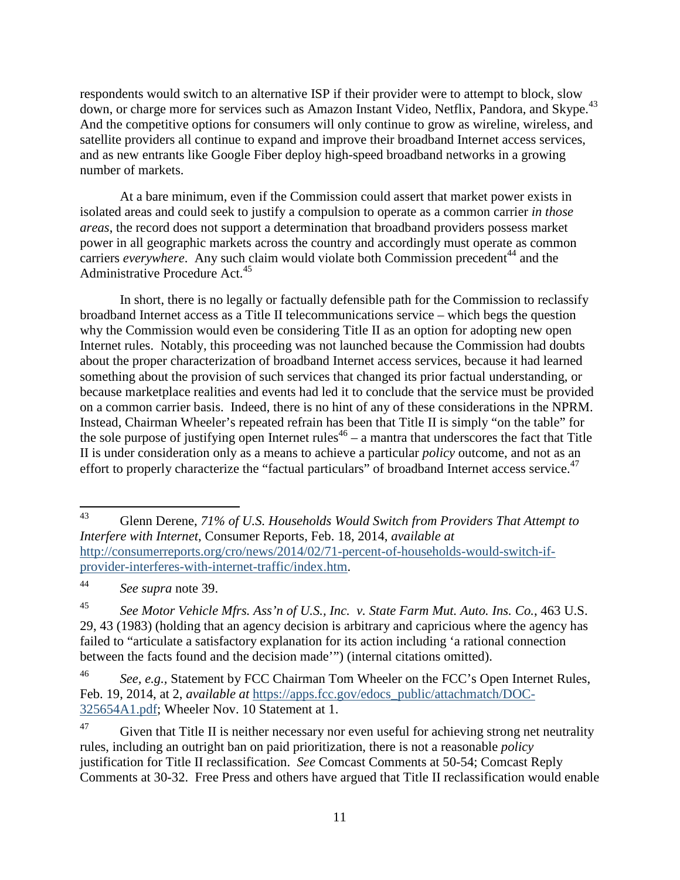respondents would switch to an alternative ISP if their provider were to attempt to block, slow down, or charge more for services such as Amazon Instant Video, Netflix, Pandora, and Skype.<sup>43</sup> And the competitive options for consumers will only continue to grow as wireline, wireless, and satellite providers all continue to expand and improve their broadband Internet access services, and as new entrants like Google Fiber deploy high-speed broadband networks in a growing number of markets.

At a bare minimum, even if the Commission could assert that market power exists in isolated areas and could seek to justify a compulsion to operate as a common carrier *in those areas*, the record does not support a determination that broadband providers possess market power in all geographic markets across the country and accordingly must operate as common carriers *everywhere*. Any such claim would violate both Commission precedent<sup>44</sup> and the Administrative Procedure Act.<sup>45</sup>

In short, there is no legally or factually defensible path for the Commission to reclassify broadband Internet access as a Title II telecommunications service – which begs the question why the Commission would even be considering Title II as an option for adopting new open Internet rules. Notably, this proceeding was not launched because the Commission had doubts about the proper characterization of broadband Internet access services, because it had learned something about the provision of such services that changed its prior factual understanding, or because marketplace realities and events had led it to conclude that the service must be provided on a common carrier basis. Indeed, there is no hint of any of these considerations in the NPRM. Instead, Chairman Wheeler's repeated refrain has been that Title II is simply "on the table" for the sole purpose of justifying open Internet rules<sup>46</sup> – a mantra that underscores the fact that Title II is under consideration only as a means to achieve a particular *policy* outcome, and not as an effort to properly characterize the "factual particulars" of broadband Internet access service.<sup>47</sup>

<sup>43</sup> <sup>43</sup> Glenn Derene, *71% of U.S. Households Would Switch from Providers That Attempt to Interfere with Internet*, Consumer Reports, Feb. 18, 2014, *available at* http://consumerreports.org/cro/news/2014/02/71-percent-of-households-would-switch-ifprovider-interferes-with-internet-traffic/index.htm.

<sup>44</sup> *See supra* note 39.

<sup>45</sup> *See Motor Vehicle Mfrs. Ass'n of U.S., Inc. v. State Farm Mut. Auto. Ins. Co.*, 463 U.S. 29, 43 (1983) (holding that an agency decision is arbitrary and capricious where the agency has failed to "articulate a satisfactory explanation for its action including 'a rational connection between the facts found and the decision made'") (internal citations omitted).

<sup>46</sup> *See, e.g.,* Statement by FCC Chairman Tom Wheeler on the FCC's Open Internet Rules, Feb. 19, 2014, at 2, *available at* https://apps.fcc.gov/edocs\_public/attachmatch/DOC-325654A1.pdf; Wheeler Nov. 10 Statement at 1.

 $47$  Given that Title II is neither necessary nor even useful for achieving strong net neutrality rules, including an outright ban on paid prioritization, there is not a reasonable *policy*  justification for Title II reclassification. *See* Comcast Comments at 50-54; Comcast Reply Comments at 30-32. Free Press and others have argued that Title II reclassification would enable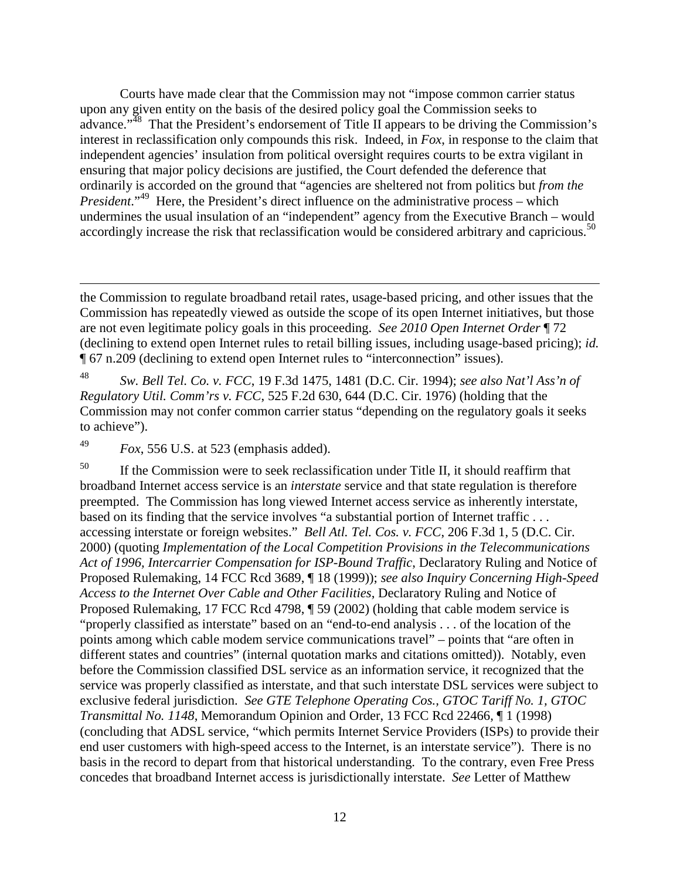Courts have made clear that the Commission may not "impose common carrier status upon any given entity on the basis of the desired policy goal the Commission seeks to advance."<sup>48</sup> That the President's endorsement of Title II appears to be driving the Commission's interest in reclassification only compounds this risk. Indeed, in *Fox*, in response to the claim that independent agencies' insulation from political oversight requires courts to be extra vigilant in ensuring that major policy decisions are justified, the Court defended the deference that ordinarily is accorded on the ground that "agencies are sheltered not from politics but *from the President*."<sup>49</sup> Here, the President's direct influence on the administrative process – which undermines the usual insulation of an "independent" agency from the Executive Branch – would accordingly increase the risk that reclassification would be considered arbitrary and capricious.<sup>50</sup>

48 *Sw. Bell Tel. Co. v. FCC*, 19 F.3d 1475, 1481 (D.C. Cir. 1994); *see also Nat'l Ass'n of Regulatory Util. Comm'rs v. FCC*, 525 F.2d 630, 644 (D.C. Cir. 1976) (holding that the Commission may not confer common carrier status "depending on the regulatory goals it seeks to achieve").

49 *Fox*, 556 U.S. at 523 (emphasis added).

<u>.</u>

 $50$  If the Commission were to seek reclassification under Title II, it should reaffirm that broadband Internet access service is an *interstate* service and that state regulation is therefore preempted. The Commission has long viewed Internet access service as inherently interstate, based on its finding that the service involves "a substantial portion of Internet traffic . . . accessing interstate or foreign websites." *Bell Atl. Tel. Cos. v. FCC*, 206 F.3d 1, 5 (D.C. Cir. 2000) (quoting *Implementation of the Local Competition Provisions in the Telecommunications Act of 1996, Intercarrier Compensation for ISP-Bound Traffic*, Declaratory Ruling and Notice of Proposed Rulemaking, 14 FCC Rcd 3689, ¶ 18 (1999)); *see also Inquiry Concerning High-Speed Access to the Internet Over Cable and Other Facilities*, Declaratory Ruling and Notice of Proposed Rulemaking, 17 FCC Rcd 4798, ¶ 59 (2002) (holding that cable modem service is "properly classified as interstate" based on an "end-to-end analysis . . . of the location of the points among which cable modem service communications travel" – points that "are often in different states and countries" (internal quotation marks and citations omitted)). Notably, even before the Commission classified DSL service as an information service, it recognized that the service was properly classified as interstate, and that such interstate DSL services were subject to exclusive federal jurisdiction. *See GTE Telephone Operating Cos., GTOC Tariff No. 1, GTOC Transmittal No. 1148*, Memorandum Opinion and Order, 13 FCC Rcd 22466, ¶ 1 (1998) (concluding that ADSL service, "which permits Internet Service Providers (ISPs) to provide their end user customers with high-speed access to the Internet, is an interstate service"). There is no basis in the record to depart from that historical understanding. To the contrary, even Free Press concedes that broadband Internet access is jurisdictionally interstate. *See* Letter of Matthew

the Commission to regulate broadband retail rates, usage-based pricing, and other issues that the Commission has repeatedly viewed as outside the scope of its open Internet initiatives, but those are not even legitimate policy goals in this proceeding. *See 2010 Open Internet Order* ¶ 72 (declining to extend open Internet rules to retail billing issues, including usage-based pricing); *id.* ¶ 67 n.209 (declining to extend open Internet rules to "interconnection" issues).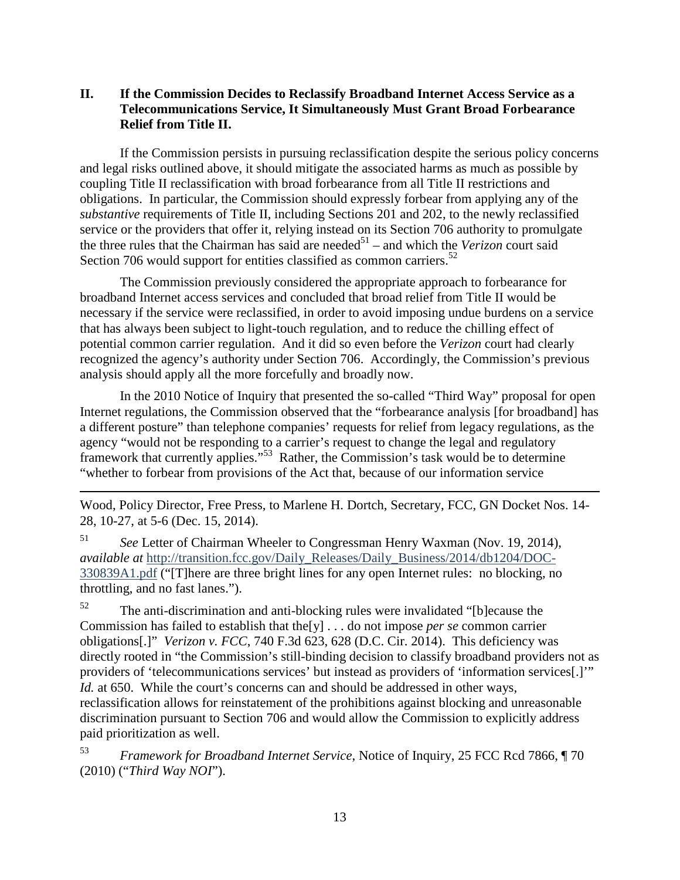## **II. If the Commission Decides to Reclassify Broadband Internet Access Service as a Telecommunications Service, It Simultaneously Must Grant Broad Forbearance Relief from Title II.**

If the Commission persists in pursuing reclassification despite the serious policy concerns and legal risks outlined above, it should mitigate the associated harms as much as possible by coupling Title II reclassification with broad forbearance from all Title II restrictions and obligations. In particular, the Commission should expressly forbear from applying any of the *substantive* requirements of Title II, including Sections 201 and 202, to the newly reclassified service or the providers that offer it, relying instead on its Section 706 authority to promulgate the three rules that the Chairman has said are needed<sup>51</sup> – and which the *Verizon* court said Section 706 would support for entities classified as common carriers.<sup>52</sup>

The Commission previously considered the appropriate approach to forbearance for broadband Internet access services and concluded that broad relief from Title II would be necessary if the service were reclassified, in order to avoid imposing undue burdens on a service that has always been subject to light-touch regulation, and to reduce the chilling effect of potential common carrier regulation. And it did so even before the *Verizon* court had clearly recognized the agency's authority under Section 706. Accordingly, the Commission's previous analysis should apply all the more forcefully and broadly now.

In the 2010 Notice of Inquiry that presented the so-called "Third Way" proposal for open Internet regulations, the Commission observed that the "forbearance analysis [for broadband] has a different posture" than telephone companies' requests for relief from legacy regulations, as the agency "would not be responding to a carrier's request to change the legal and regulatory framework that currently applies."<sup>53</sup> Rather, the Commission's task would be to determine "whether to forbear from provisions of the Act that, because of our information service

Wood, Policy Director, Free Press, to Marlene H. Dortch, Secretary, FCC, GN Docket Nos. 14- 28, 10-27, at 5-6 (Dec. 15, 2014).

51 *See* Letter of Chairman Wheeler to Congressman Henry Waxman (Nov. 19, 2014), *available at http://transition.fcc.gov/Daily\_Releases/Daily\_Business/2014/db1204/DOC-*330839A1.pdf ("[T]here are three bright lines for any open Internet rules: no blocking, no throttling, and no fast lanes.").

-

 $52$  The anti-discrimination and anti-blocking rules were invalidated "[b] ecause the Commission has failed to establish that the[y] . . . do not impose *per se* common carrier obligations[.]" *Verizon v. FCC*, 740 F.3d 623, 628 (D.C. Cir. 2014). This deficiency was directly rooted in "the Commission's still-binding decision to classify broadband providers not as providers of 'telecommunications services' but instead as providers of 'information services[.]'" *Id.* at 650. While the court's concerns can and should be addressed in other ways, reclassification allows for reinstatement of the prohibitions against blocking and unreasonable discrimination pursuant to Section 706 and would allow the Commission to explicitly address paid prioritization as well.

53 *Framework for Broadband Internet Service*, Notice of Inquiry, 25 FCC Rcd 7866, ¶ 70 (2010) ("*Third Way NOI*").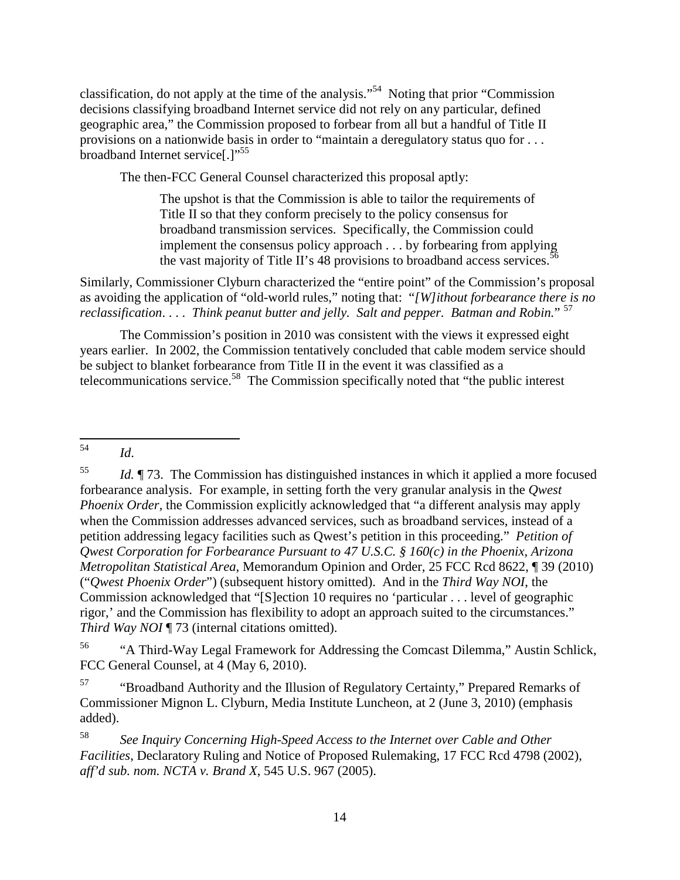classification, do not apply at the time of the analysis."<sup>54</sup> Noting that prior "Commission decisions classifying broadband Internet service did not rely on any particular, defined geographic area," the Commission proposed to forbear from all but a handful of Title II provisions on a nationwide basis in order to "maintain a deregulatory status quo for . . . broadband Internet service[.]"<sup>55</sup>

The then-FCC General Counsel characterized this proposal aptly:

The upshot is that the Commission is able to tailor the requirements of Title II so that they conform precisely to the policy consensus for broadband transmission services. Specifically, the Commission could implement the consensus policy approach . . . by forbearing from applying the vast majority of Title II's 48 provisions to broadband access services.<sup>5</sup>

Similarly, Commissioner Clyburn characterized the "entire point" of the Commission's proposal as avoiding the application of "old-world rules," noting that: "*[W]ithout forbearance there is no reclassification*. . . . *Think peanut butter and jelly. Salt and pepper. Batman and Robin.*" <sup>57</sup>

The Commission's position in 2010 was consistent with the views it expressed eight years earlier. In 2002, the Commission tentatively concluded that cable modem service should be subject to blanket forbearance from Title II in the event it was classified as a telecommunications service.<sup>58</sup> The Commission specifically noted that "the public interest

<sup>56</sup> "A Third-Way Legal Framework for Addressing the Comcast Dilemma," Austin Schlick, FCC General Counsel, at 4 (May 6, 2010).

<sup>57</sup> "Broadband Authority and the Illusion of Regulatory Certainty," Prepared Remarks of Commissioner Mignon L. Clyburn, Media Institute Luncheon, at 2 (June 3, 2010) (emphasis added).

58 *See Inquiry Concerning High-Speed Access to the Internet over Cable and Other Facilities*, Declaratory Ruling and Notice of Proposed Rulemaking, 17 FCC Rcd 4798 (2002), *aff'd sub. nom. NCTA v. Brand X*, 545 U.S. 967 (2005).

 $\frac{1}{54}$ *Id*.

<sup>55</sup> *Id.*  $\P$  73. The Commission has distinguished instances in which it applied a more focused forbearance analysis. For example, in setting forth the very granular analysis in the *Qwest Phoenix Order*, the Commission explicitly acknowledged that "a different analysis may apply when the Commission addresses advanced services, such as broadband services, instead of a petition addressing legacy facilities such as Qwest's petition in this proceeding." *Petition of Qwest Corporation for Forbearance Pursuant to 47 U.S.C. § 160(c) in the Phoenix, Arizona Metropolitan Statistical Area*, Memorandum Opinion and Order, 25 FCC Rcd 8622, ¶ 39 (2010) ("*Qwest Phoenix Order*") (subsequent history omitted). And in the *Third Way NOI*, the Commission acknowledged that "[S]ection 10 requires no 'particular . . . level of geographic rigor,' and the Commission has flexibility to adopt an approach suited to the circumstances." *Third Way NOI* ¶ 73 (internal citations omitted).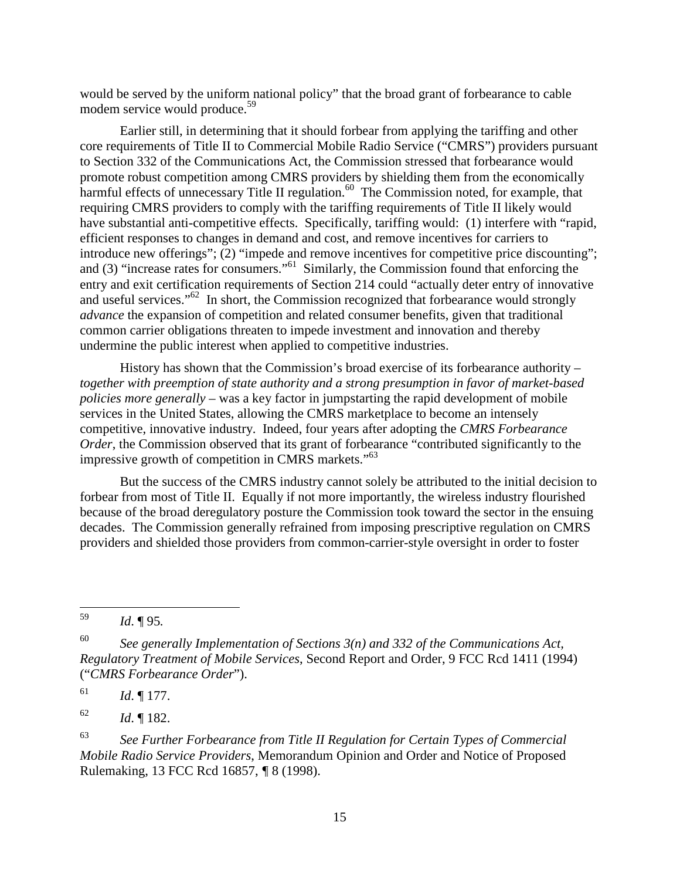would be served by the uniform national policy" that the broad grant of forbearance to cable modem service would produce.<sup>59</sup>

Earlier still, in determining that it should forbear from applying the tariffing and other core requirements of Title II to Commercial Mobile Radio Service ("CMRS") providers pursuant to Section 332 of the Communications Act, the Commission stressed that forbearance would promote robust competition among CMRS providers by shielding them from the economically harmful effects of unnecessary Title II regulation.<sup>60</sup> The Commission noted, for example, that requiring CMRS providers to comply with the tariffing requirements of Title II likely would have substantial anti-competitive effects. Specifically, tariffing would: (1) interfere with "rapid, efficient responses to changes in demand and cost, and remove incentives for carriers to introduce new offerings"; (2) "impede and remove incentives for competitive price discounting"; and (3) "increase rates for consumers."<sup>61</sup> Similarly, the Commission found that enforcing the entry and exit certification requirements of Section 214 could "actually deter entry of innovative and useful services."<sup>62</sup> In short, the Commission recognized that forbearance would strongly *advance* the expansion of competition and related consumer benefits, given that traditional common carrier obligations threaten to impede investment and innovation and thereby undermine the public interest when applied to competitive industries.

History has shown that the Commission's broad exercise of its forbearance authority – *together with preemption of state authority and a strong presumption in favor of market-based policies more generally* – was a key factor in jumpstarting the rapid development of mobile services in the United States, allowing the CMRS marketplace to become an intensely competitive, innovative industry. Indeed, four years after adopting the *CMRS Forbearance Order*, the Commission observed that its grant of forbearance "contributed significantly to the impressive growth of competition in CMRS markets."<sup>63</sup>

But the success of the CMRS industry cannot solely be attributed to the initial decision to forbear from most of Title II. Equally if not more importantly, the wireless industry flourished because of the broad deregulatory posture the Commission took toward the sector in the ensuing decades. The Commission generally refrained from imposing prescriptive regulation on CMRS providers and shielded those providers from common-carrier-style oversight in order to foster

 $\frac{1}{59}$ *Id*. ¶ 95*.*

61 *Id*. ¶ 177.

62 *Id*. ¶ 182.

63 *See Further Forbearance from Title II Regulation for Certain Types of Commercial Mobile Radio Service Providers*, Memorandum Opinion and Order and Notice of Proposed Rulemaking, 13 FCC Rcd 16857, *¶* 8 (1998).

<sup>60</sup> *See generally Implementation of Sections 3(n) and 332 of the Communications Act, Regulatory Treatment of Mobile Services*, Second Report and Order, 9 FCC Rcd 1411 (1994) ("*CMRS Forbearance Order*").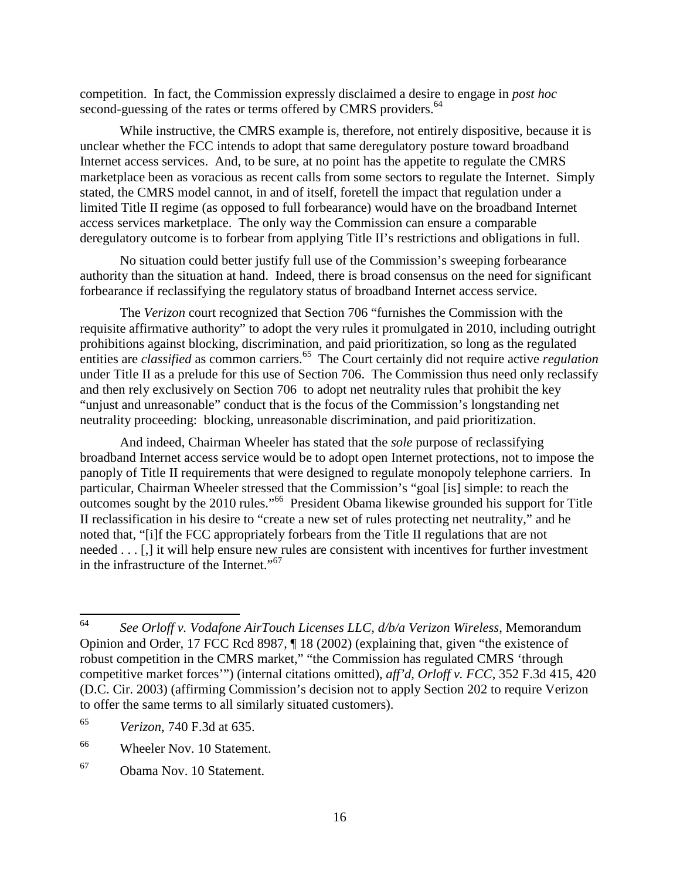competition. In fact, the Commission expressly disclaimed a desire to engage in *post hoc*  second-guessing of the rates or terms offered by CMRS providers.<sup>64</sup>

While instructive, the CMRS example is, therefore, not entirely dispositive, because it is unclear whether the FCC intends to adopt that same deregulatory posture toward broadband Internet access services. And, to be sure, at no point has the appetite to regulate the CMRS marketplace been as voracious as recent calls from some sectors to regulate the Internet. Simply stated, the CMRS model cannot, in and of itself, foretell the impact that regulation under a limited Title II regime (as opposed to full forbearance) would have on the broadband Internet access services marketplace. The only way the Commission can ensure a comparable deregulatory outcome is to forbear from applying Title II's restrictions and obligations in full.

No situation could better justify full use of the Commission's sweeping forbearance authority than the situation at hand. Indeed, there is broad consensus on the need for significant forbearance if reclassifying the regulatory status of broadband Internet access service.

The *Verizon* court recognized that Section 706 "furnishes the Commission with the requisite affirmative authority" to adopt the very rules it promulgated in 2010, including outright prohibitions against blocking, discrimination, and paid prioritization, so long as the regulated entities are *classified* as common carriers.<sup>65</sup> The Court certainly did not require active *regulation* under Title II as a prelude for this use of Section 706. The Commission thus need only reclassify and then rely exclusively on Section 706 to adopt net neutrality rules that prohibit the key "unjust and unreasonable" conduct that is the focus of the Commission's longstanding net neutrality proceeding: blocking, unreasonable discrimination, and paid prioritization.

And indeed, Chairman Wheeler has stated that the *sole* purpose of reclassifying broadband Internet access service would be to adopt open Internet protections, not to impose the panoply of Title II requirements that were designed to regulate monopoly telephone carriers. In particular, Chairman Wheeler stressed that the Commission's "goal [is] simple: to reach the outcomes sought by the 2010 rules."<sup>66</sup> President Obama likewise grounded his support for Title II reclassification in his desire to "create a new set of rules protecting net neutrality," and he noted that, "[i]f the FCC appropriately forbears from the Title II regulations that are not needed . . . [,] it will help ensure new rules are consistent with incentives for further investment in the infrastructure of the Internet."<sup>67</sup>

<u>.</u>

<sup>64</sup> *See Orloff v. Vodafone AirTouch Licenses LLC, d/b/a Verizon Wireless*, Memorandum Opinion and Order, 17 FCC Rcd 8987, ¶ 18 (2002) (explaining that, given "the existence of robust competition in the CMRS market," "the Commission has regulated CMRS 'through competitive market forces'") (internal citations omitted), *aff'd*, *Orloff v. FCC*, 352 F.3d 415, 420 (D.C. Cir. 2003) (affirming Commission's decision not to apply Section 202 to require Verizon to offer the same terms to all similarly situated customers).

<sup>65</sup> *Verizon*, 740 F.3d at 635.

<sup>66</sup> Wheeler Nov. 10 Statement.

<sup>67</sup> Obama Nov. 10 Statement.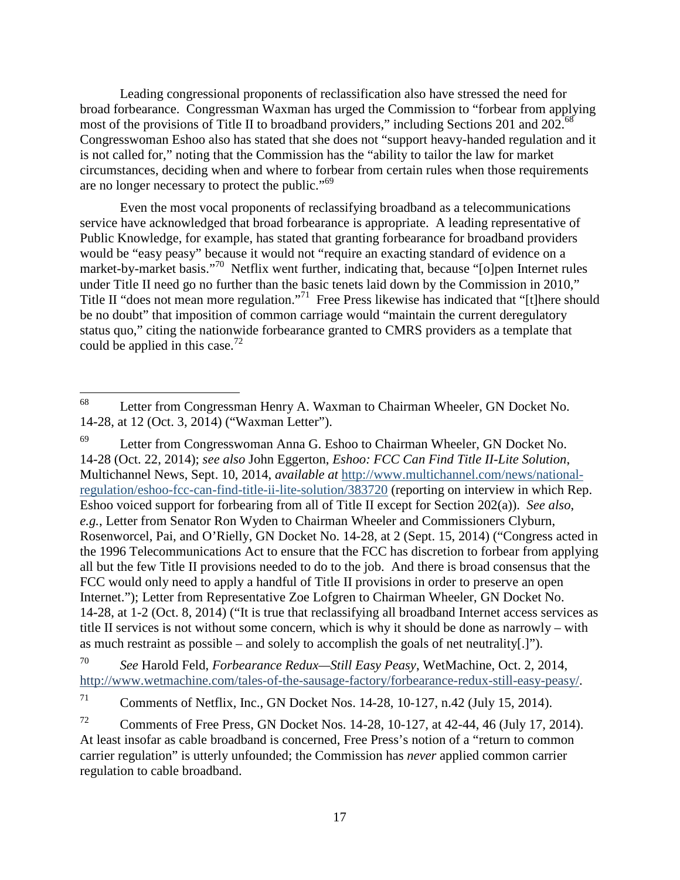Leading congressional proponents of reclassification also have stressed the need for broad forbearance. Congressman Waxman has urged the Commission to "forbear from applying most of the provisions of Title II to broadband providers," including Sections 201 and  $202.68$ Congresswoman Eshoo also has stated that she does not "support heavy-handed regulation and it is not called for," noting that the Commission has the "ability to tailor the law for market circumstances, deciding when and where to forbear from certain rules when those requirements are no longer necessary to protect the public."<sup>69</sup>

Even the most vocal proponents of reclassifying broadband as a telecommunications service have acknowledged that broad forbearance is appropriate. A leading representative of Public Knowledge, for example, has stated that granting forbearance for broadband providers would be "easy peasy" because it would not "require an exacting standard of evidence on a market-by-market basis."<sup>70</sup> Netflix went further, indicating that, because "[o]pen Internet rules under Title II need go no further than the basic tenets laid down by the Commission in 2010," Title II "does not mean more regulation."<sup>71</sup> Free Press likewise has indicated that "[t]here should be no doubt" that imposition of common carriage would "maintain the current deregulatory status quo," citing the nationwide forbearance granted to CMRS providers as a template that could be applied in this case.<sup>72</sup>

<sup>68</sup> Letter from Congressman Henry A. Waxman to Chairman Wheeler, GN Docket No. 14-28, at 12 (Oct. 3, 2014) ("Waxman Letter").

Letter from Congresswoman Anna G. Eshoo to Chairman Wheeler, GN Docket No. 14-28 (Oct. 22, 2014); *see also* John Eggerton, *Eshoo: FCC Can Find Title II-Lite Solution*, Multichannel News, Sept. 10, 2014, *available at* http://www.multichannel.com/news/nationalregulation/eshoo-fcc-can-find-title-ii-lite-solution/383720 (reporting on interview in which Rep. Eshoo voiced support for forbearing from all of Title II except for Section 202(a)). *See also*, *e.g.*, Letter from Senator Ron Wyden to Chairman Wheeler and Commissioners Clyburn, Rosenworcel, Pai, and O'Rielly, GN Docket No. 14-28, at 2 (Sept. 15, 2014) ("Congress acted in the 1996 Telecommunications Act to ensure that the FCC has discretion to forbear from applying all but the few Title II provisions needed to do to the job. And there is broad consensus that the FCC would only need to apply a handful of Title II provisions in order to preserve an open Internet."); Letter from Representative Zoe Lofgren to Chairman Wheeler, GN Docket No. 14-28, at 1-2 (Oct. 8, 2014) ("It is true that reclassifying all broadband Internet access services as title II services is not without some concern, which is why it should be done as narrowly – with as much restraint as possible – and solely to accomplish the goals of net neutrality[.]").

<sup>70</sup> *See* Harold Feld, *Forbearance Redux—Still Easy Peasy*, WetMachine, Oct. 2, 2014, http://www.wetmachine.com/tales-of-the-sausage-factory/forbearance-redux-still-easy-peasy/.

 $71$  Comments of Netflix, Inc., GN Docket Nos. 14-28, 10-127, n.42 (July 15, 2014).

<sup>&</sup>lt;sup>72</sup> Comments of Free Press, GN Docket Nos. 14-28, 10-127, at 42-44, 46 (July 17, 2014). At least insofar as cable broadband is concerned, Free Press's notion of a "return to common carrier regulation" is utterly unfounded; the Commission has *never* applied common carrier regulation to cable broadband.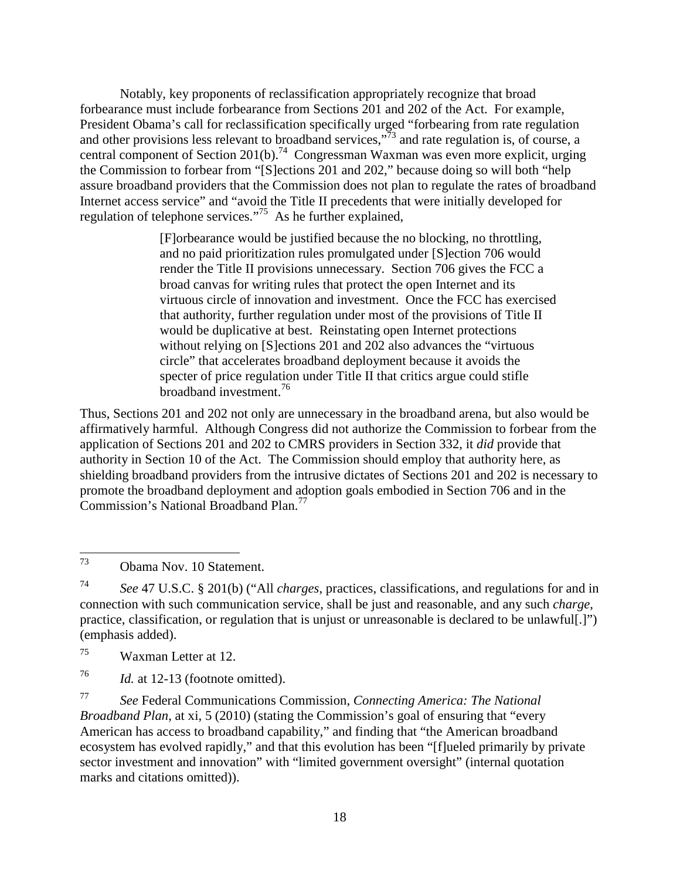Notably, key proponents of reclassification appropriately recognize that broad forbearance must include forbearance from Sections 201 and 202 of the Act. For example, President Obama's call for reclassification specifically urged "forbearing from rate regulation and other provisions less relevant to broadband services,"<sup>73</sup> and rate regulation is, of course, a central component of Section 201(b).<sup>74</sup> Congressman Waxman was even more explicit, urging the Commission to forbear from "[S]ections 201 and 202," because doing so will both "help assure broadband providers that the Commission does not plan to regulate the rates of broadband Internet access service" and "avoid the Title II precedents that were initially developed for regulation of telephone services."<sup>75</sup> As he further explained,

> [F]orbearance would be justified because the no blocking, no throttling, and no paid prioritization rules promulgated under [S]ection 706 would render the Title II provisions unnecessary. Section 706 gives the FCC a broad canvas for writing rules that protect the open Internet and its virtuous circle of innovation and investment. Once the FCC has exercised that authority, further regulation under most of the provisions of Title II would be duplicative at best. Reinstating open Internet protections without relying on [S]ections 201 and 202 also advances the "virtuous circle" that accelerates broadband deployment because it avoids the specter of price regulation under Title II that critics argue could stifle broadband investment.<sup>76</sup>

Thus, Sections 201 and 202 not only are unnecessary in the broadband arena, but also would be affirmatively harmful. Although Congress did not authorize the Commission to forbear from the application of Sections 201 and 202 to CMRS providers in Section 332, it *did* provide that authority in Section 10 of the Act. The Commission should employ that authority here, as shielding broadband providers from the intrusive dictates of Sections 201 and 202 is necessary to promote the broadband deployment and adoption goals embodied in Section 706 and in the Commission's National Broadband Plan.<sup>77</sup>

 $^{75}$  Waxman Letter at 12.

<sup>73</sup> <sup>73</sup> Obama Nov. 10 Statement.

<sup>74</sup> *See* 47 U.S.C. § 201(b) ("All *charges*, practices, classifications, and regulations for and in connection with such communication service, shall be just and reasonable, and any such *charge*, practice, classification, or regulation that is unjust or unreasonable is declared to be unlawful[.]") (emphasis added).

<sup>76</sup> *Id.* at 12-13 (footnote omitted).

<sup>77</sup> *See* Federal Communications Commission, *Connecting America: The National Broadband Plan*, at xi, 5 (2010) (stating the Commission's goal of ensuring that "every American has access to broadband capability," and finding that "the American broadband ecosystem has evolved rapidly," and that this evolution has been "[f]ueled primarily by private sector investment and innovation" with "limited government oversight" (internal quotation marks and citations omitted)).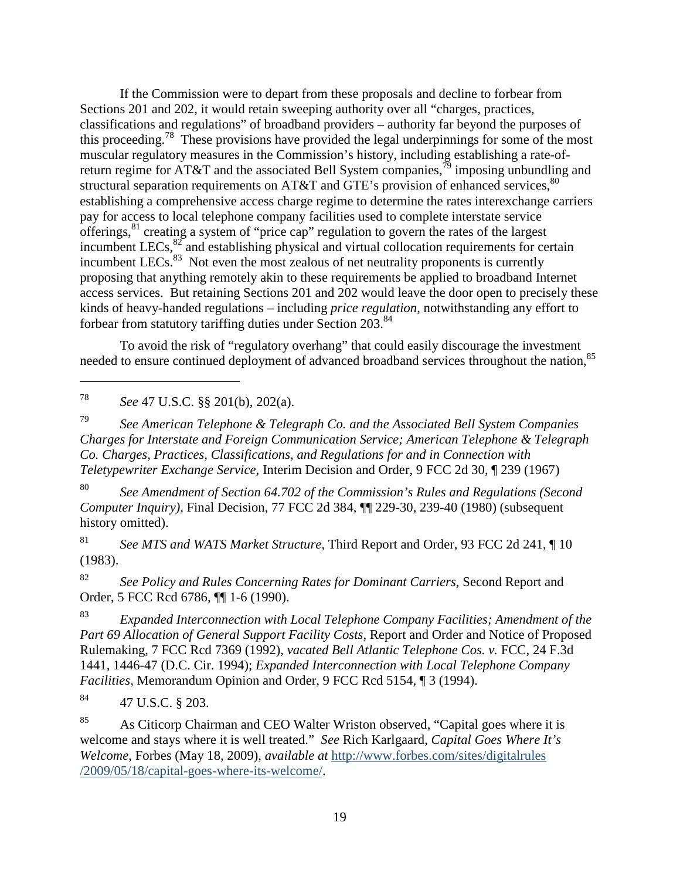If the Commission were to depart from these proposals and decline to forbear from Sections 201 and 202, it would retain sweeping authority over all "charges, practices, classifications and regulations" of broadband providers – authority far beyond the purposes of this proceeding.<sup>78</sup> These provisions have provided the legal underpinnings for some of the most muscular regulatory measures in the Commission's history, including establishing a rate-ofreturn regime for AT&T and the associated Bell System companies,<sup>79</sup> imposing unbundling and structural separation requirements on AT&T and GTE's provision of enhanced services,  $80$ establishing a comprehensive access charge regime to determine the rates interexchange carriers pay for access to local telephone company facilities used to complete interstate service offerings,<sup>81</sup> creating a system of "price cap" regulation to govern the rates of the largest incumbent LECs, $82$  and establishing physical and virtual collocation requirements for certain incumbent LECs. $^{83}$  Not even the most zealous of net neutrality proponents is currently proposing that anything remotely akin to these requirements be applied to broadband Internet access services. But retaining Sections 201 and 202 would leave the door open to precisely these kinds of heavy-handed regulations – including *price regulation*, notwithstanding any effort to forbear from statutory tariffing duties under Section 203.<sup>84</sup>

To avoid the risk of "regulatory overhang" that could easily discourage the investment needed to ensure continued deployment of advanced broadband services throughout the nation, <sup>85</sup>

78 *See* 47 U.S.C. §§ 201(b), 202(a).

-

79 *See American Telephone & Telegraph Co. and the Associated Bell System Companies Charges for Interstate and Foreign Communication Service; American Telephone & Telegraph Co. Charges, Practices, Classifications, and Regulations for and in Connection with Teletypewriter Exchange Service*, Interim Decision and Order, 9 FCC 2d 30, ¶ 239 (1967)

80 *See Amendment of Section 64.702 of the Commission's Rules and Regulations (Second Computer Inquiry)*, Final Decision, 77 FCC 2d 384, ¶¶ 229-30, 239-40 (1980) (subsequent history omitted).

81 *See MTS and WATS Market Structure*, Third Report and Order, 93 FCC 2d 241, ¶ 10 (1983).

82 *See Policy and Rules Concerning Rates for Dominant Carriers*, Second Report and Order, 5 FCC Rcd 6786, ¶¶ 1-6 (1990).

83 *Expanded Interconnection with Local Telephone Company Facilities; Amendment of the Part 69 Allocation of General Support Facility Costs*, Report and Order and Notice of Proposed Rulemaking, 7 FCC Rcd 7369 (1992), *vacated Bell Atlantic Telephone Cos. v.* FCC, 24 F.3d 1441, 1446-47 (D.C. Cir. 1994); *Expanded Interconnection with Local Telephone Company Facilities*, Memorandum Opinion and Order, 9 FCC Rcd 5154, ¶ 3 (1994).

<sup>84</sup> 47 U.S.C. § 203.

<sup>85</sup> As Citicorp Chairman and CEO Walter Wriston observed, "Capital goes where it is welcome and stays where it is well treated." *See* Rich Karlgaard, *Capital Goes Where It's Welcome*, Forbes (May 18, 2009), *available at* http://www.forbes.com/sites/digitalrules /2009/05/18/capital-goes-where-its-welcome/.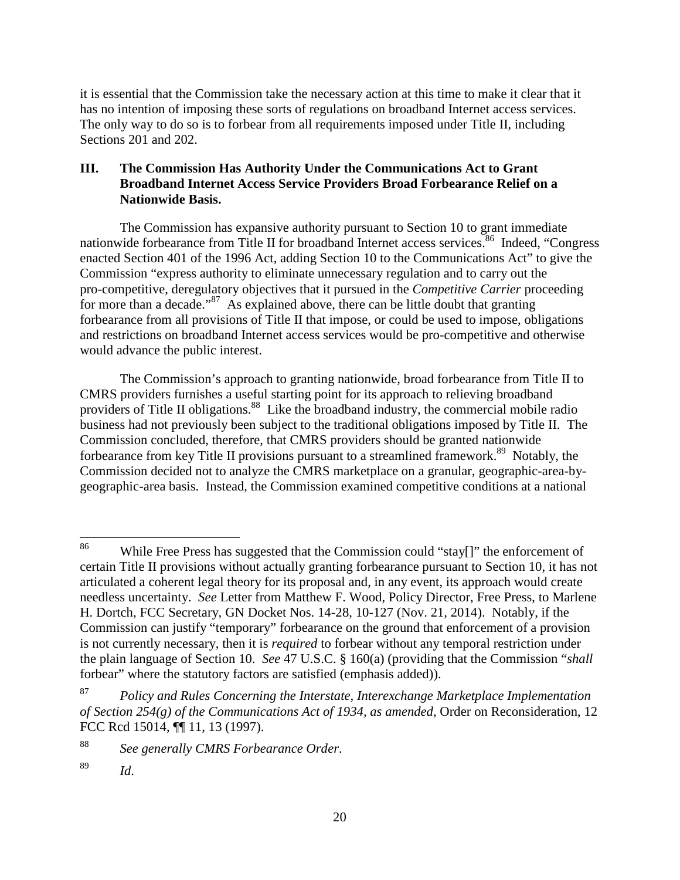it is essential that the Commission take the necessary action at this time to make it clear that it has no intention of imposing these sorts of regulations on broadband Internet access services. The only way to do so is to forbear from all requirements imposed under Title II, including Sections 201 and 202.

### **III. The Commission Has Authority Under the Communications Act to Grant Broadband Internet Access Service Providers Broad Forbearance Relief on a Nationwide Basis.**

The Commission has expansive authority pursuant to Section 10 to grant immediate nationwide forbearance from Title II for broadband Internet access services.<sup>86</sup> Indeed, "Congress" enacted Section 401 of the 1996 Act, adding Section 10 to the Communications Act" to give the Commission "express authority to eliminate unnecessary regulation and to carry out the pro-competitive, deregulatory objectives that it pursued in the *Competitive Carrier* proceeding for more than a decade."<sup>87</sup> As explained above, there can be little doubt that granting forbearance from all provisions of Title II that impose, or could be used to impose, obligations and restrictions on broadband Internet access services would be pro-competitive and otherwise would advance the public interest.

The Commission's approach to granting nationwide, broad forbearance from Title II to CMRS providers furnishes a useful starting point for its approach to relieving broadband providers of Title II obligations.<sup>88</sup> Like the broadband industry, the commercial mobile radio business had not previously been subject to the traditional obligations imposed by Title II. The Commission concluded, therefore, that CMRS providers should be granted nationwide forbearance from key Title II provisions pursuant to a streamlined framework.<sup>89</sup> Notably, the Commission decided not to analyze the CMRS marketplace on a granular, geographic-area-bygeographic-area basis. Instead, the Commission examined competitive conditions at a national

<u>.</u>

<sup>&</sup>lt;sup>86</sup> While Free Press has suggested that the Commission could "stay[]" the enforcement of certain Title II provisions without actually granting forbearance pursuant to Section 10, it has not articulated a coherent legal theory for its proposal and, in any event, its approach would create needless uncertainty. *See* Letter from Matthew F. Wood, Policy Director, Free Press, to Marlene H. Dortch, FCC Secretary, GN Docket Nos. 14-28, 10-127 (Nov. 21, 2014). Notably, if the Commission can justify "temporary" forbearance on the ground that enforcement of a provision is not currently necessary, then it is *required* to forbear without any temporal restriction under the plain language of Section 10. *See* 47 U.S.C. § 160(a) (providing that the Commission "*shall* forbear" where the statutory factors are satisfied (emphasis added)).

<sup>87</sup> *Policy and Rules Concerning the Interstate, Interexchange Marketplace Implementation of Section 254(g) of the Communications Act of 1934, as amended*, Order on Reconsideration, 12 FCC Rcd 15014, ¶¶ 11, 13 (1997).

<sup>88</sup> *See generally CMRS Forbearance Order*.

<sup>89</sup> *Id*.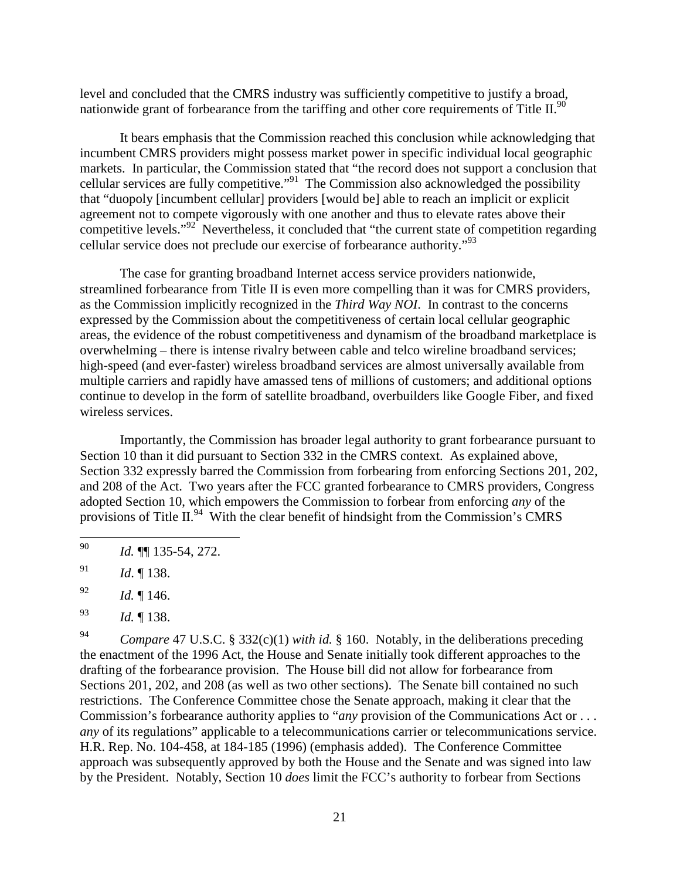level and concluded that the CMRS industry was sufficiently competitive to justify a broad, nationwide grant of forbearance from the tariffing and other core requirements of Title II.<sup>90</sup>

It bears emphasis that the Commission reached this conclusion while acknowledging that incumbent CMRS providers might possess market power in specific individual local geographic markets. In particular, the Commission stated that "the record does not support a conclusion that cellular services are fully competitive."<sup>91</sup> The Commission also acknowledged the possibility that "duopoly [incumbent cellular] providers [would be] able to reach an implicit or explicit agreement not to compete vigorously with one another and thus to elevate rates above their competitive levels." $92^{\circ}$  Nevertheless, it concluded that "the current state of competition regarding cellular service does not preclude our exercise of forbearance authority."<sup>93</sup>

The case for granting broadband Internet access service providers nationwide, streamlined forbearance from Title II is even more compelling than it was for CMRS providers, as the Commission implicitly recognized in the *Third Way NOI*. In contrast to the concerns expressed by the Commission about the competitiveness of certain local cellular geographic areas, the evidence of the robust competitiveness and dynamism of the broadband marketplace is overwhelming – there is intense rivalry between cable and telco wireline broadband services; high-speed (and ever-faster) wireless broadband services are almost universally available from multiple carriers and rapidly have amassed tens of millions of customers; and additional options continue to develop in the form of satellite broadband, overbuilders like Google Fiber, and fixed wireless services.

Importantly, the Commission has broader legal authority to grant forbearance pursuant to Section 10 than it did pursuant to Section 332 in the CMRS context. As explained above, Section 332 expressly barred the Commission from forbearing from enforcing Sections 201, 202, and 208 of the Act. Two years after the FCC granted forbearance to CMRS providers, Congress adopted Section 10, which empowers the Commission to forbear from enforcing *any* of the provisions of Title II.<sup>94</sup> With the clear benefit of hindsight from the Commission's CMRS

<u>.</u>

94 *Compare* 47 U.S.C. § 332(c)(1) *with id.* § 160. Notably, in the deliberations preceding the enactment of the 1996 Act, the House and Senate initially took different approaches to the drafting of the forbearance provision. The House bill did not allow for forbearance from Sections 201, 202, and 208 (as well as two other sections). The Senate bill contained no such restrictions. The Conference Committee chose the Senate approach, making it clear that the Commission's forbearance authority applies to "*any* provision of the Communications Act or . . . *any* of its regulations" applicable to a telecommunications carrier or telecommunications service. H.R. Rep. No. 104-458, at 184-185 (1996) (emphasis added). The Conference Committee approach was subsequently approved by both the House and the Senate and was signed into law by the President. Notably, Section 10 *does* limit the FCC's authority to forbear from Sections

<sup>90</sup> *Id.* ¶¶ 135-54, 272.

<sup>91</sup> *Id*. ¶ 138.

<sup>92</sup> *Id.* ¶ 146.

<sup>93</sup> *Id.* ¶ 138.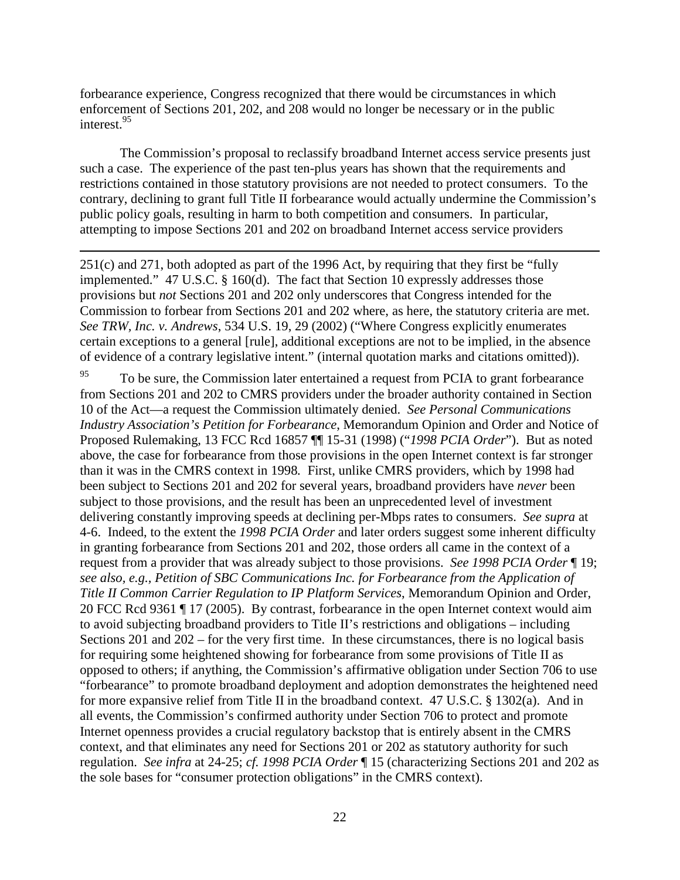forbearance experience, Congress recognized that there would be circumstances in which enforcement of Sections 201, 202, and 208 would no longer be necessary or in the public interest.<sup>95</sup>

-

The Commission's proposal to reclassify broadband Internet access service presents just such a case. The experience of the past ten-plus years has shown that the requirements and restrictions contained in those statutory provisions are not needed to protect consumers. To the contrary, declining to grant full Title II forbearance would actually undermine the Commission's public policy goals, resulting in harm to both competition and consumers. In particular, attempting to impose Sections 201 and 202 on broadband Internet access service providers

251(c) and 271, both adopted as part of the 1996 Act, by requiring that they first be "fully implemented." 47 U.S.C. § 160(d). The fact that Section 10 expressly addresses those provisions but *not* Sections 201 and 202 only underscores that Congress intended for the Commission to forbear from Sections 201 and 202 where, as here, the statutory criteria are met. *See TRW, Inc. v. Andrews*, 534 U.S. 19, 29 (2002) ("Where Congress explicitly enumerates certain exceptions to a general [rule], additional exceptions are not to be implied, in the absence of evidence of a contrary legislative intent." (internal quotation marks and citations omitted)).

<sup>95</sup> To be sure, the Commission later entertained a request from PCIA to grant forbearance from Sections 201 and 202 to CMRS providers under the broader authority contained in Section 10 of the Act—a request the Commission ultimately denied. *See Personal Communications Industry Association's Petition for Forbearance*, Memorandum Opinion and Order and Notice of Proposed Rulemaking, 13 FCC Rcd 16857 ¶¶ 15-31 (1998) ("*1998 PCIA Order*"). But as noted above, the case for forbearance from those provisions in the open Internet context is far stronger than it was in the CMRS context in 1998*.* First, unlike CMRS providers, which by 1998 had been subject to Sections 201 and 202 for several years, broadband providers have *never* been subject to those provisions, and the result has been an unprecedented level of investment delivering constantly improving speeds at declining per-Mbps rates to consumers. *See supra* at 4-6. Indeed, to the extent the *1998 PCIA Order* and later orders suggest some inherent difficulty in granting forbearance from Sections 201 and 202, those orders all came in the context of a request from a provider that was already subject to those provisions. *See 1998 PCIA Order* ¶ 19; *see also, e.g., Petition of SBC Communications Inc. for Forbearance from the Application of Title II Common Carrier Regulation to IP Platform Services*, Memorandum Opinion and Order, 20 FCC Rcd 9361 ¶ 17 (2005). By contrast, forbearance in the open Internet context would aim to avoid subjecting broadband providers to Title II's restrictions and obligations – including Sections 201 and 202 – for the very first time. In these circumstances, there is no logical basis for requiring some heightened showing for forbearance from some provisions of Title II as opposed to others; if anything, the Commission's affirmative obligation under Section 706 to use "forbearance" to promote broadband deployment and adoption demonstrates the heightened need for more expansive relief from Title II in the broadband context. 47 U.S.C. § 1302(a). And in all events, the Commission's confirmed authority under Section 706 to protect and promote Internet openness provides a crucial regulatory backstop that is entirely absent in the CMRS context, and that eliminates any need for Sections 201 or 202 as statutory authority for such regulation. *See infra* at 24-25; *cf. 1998 PCIA Order* ¶ 15 (characterizing Sections 201 and 202 as the sole bases for "consumer protection obligations" in the CMRS context).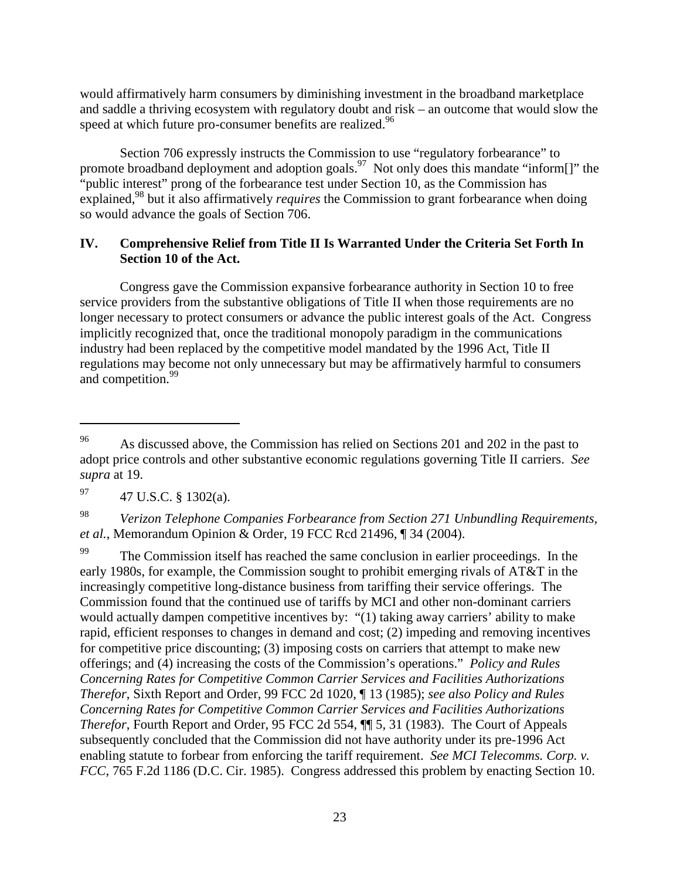would affirmatively harm consumers by diminishing investment in the broadband marketplace and saddle a thriving ecosystem with regulatory doubt and risk – an outcome that would slow the speed at which future pro-consumer benefits are realized.<sup>96</sup>

Section 706 expressly instructs the Commission to use "regulatory forbearance" to promote broadband deployment and adoption goals.<sup>97</sup> Not only does this mandate "inform[]" the "public interest" prong of the forbearance test under Section 10, as the Commission has explained,<sup>98</sup> but it also affirmatively *requires* the Commission to grant forbearance when doing so would advance the goals of Section 706.

#### **IV. Comprehensive Relief from Title II Is Warranted Under the Criteria Set Forth In Section 10 of the Act.**

Congress gave the Commission expansive forbearance authority in Section 10 to free service providers from the substantive obligations of Title II when those requirements are no longer necessary to protect consumers or advance the public interest goals of the Act. Congress implicitly recognized that, once the traditional monopoly paradigm in the communications industry had been replaced by the competitive model mandated by the 1996 Act, Title II regulations may become not only unnecessary but may be affirmatively harmful to consumers and competition.<sup>99</sup>

-

The Commission itself has reached the same conclusion in earlier proceedings. In the early 1980s, for example, the Commission sought to prohibit emerging rivals of AT&T in the increasingly competitive long-distance business from tariffing their service offerings. The Commission found that the continued use of tariffs by MCI and other non-dominant carriers would actually dampen competitive incentives by: "(1) taking away carriers' ability to make rapid, efficient responses to changes in demand and cost; (2) impeding and removing incentives for competitive price discounting; (3) imposing costs on carriers that attempt to make new offerings; and (4) increasing the costs of the Commission's operations." *Policy and Rules Concerning Rates for Competitive Common Carrier Services and Facilities Authorizations Therefor*, Sixth Report and Order, 99 FCC 2d 1020, ¶ 13 (1985); *see also Policy and Rules Concerning Rates for Competitive Common Carrier Services and Facilities Authorizations Therefor*, Fourth Report and Order, 95 FCC 2d 554, ¶¶ 5, 31 (1983). The Court of Appeals subsequently concluded that the Commission did not have authority under its pre-1996 Act enabling statute to forbear from enforcing the tariff requirement. *See MCI Telecomms. Corp. v. FCC*, 765 F.2d 1186 (D.C. Cir. 1985). Congress addressed this problem by enacting Section 10.

<sup>&</sup>lt;sup>96</sup> As discussed above, the Commission has relied on Sections 201 and 202 in the past to adopt price controls and other substantive economic regulations governing Title II carriers. *See supra* at 19.

 $^{97}$  47 U.S.C. § 1302(a).

<sup>98</sup> *Verizon Telephone Companies Forbearance from Section 271 Unbundling Requirements, et al.*, Memorandum Opinion & Order, 19 FCC Rcd 21496, ¶ 34 (2004).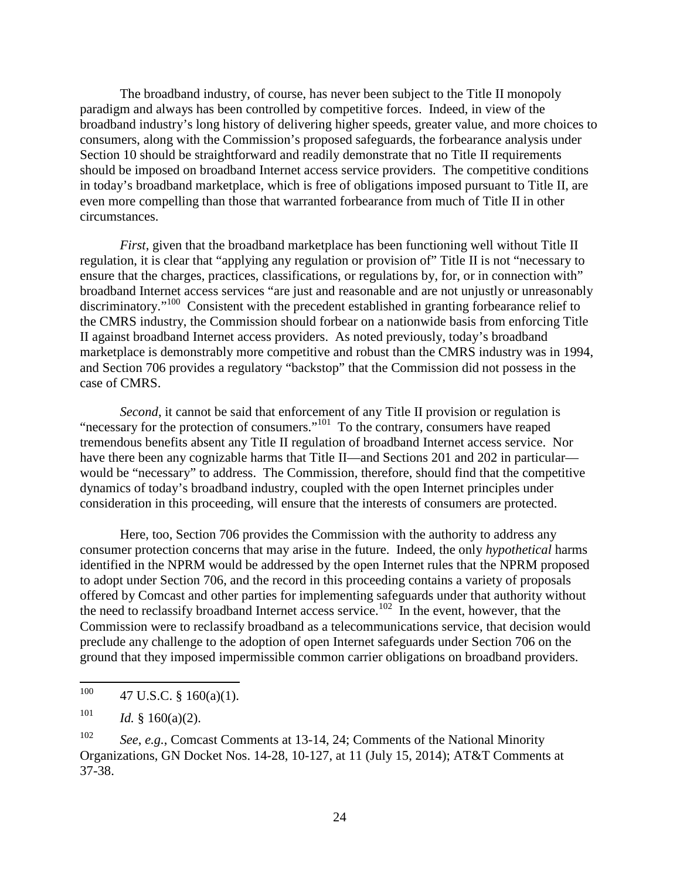The broadband industry, of course, has never been subject to the Title II monopoly paradigm and always has been controlled by competitive forces. Indeed, in view of the broadband industry's long history of delivering higher speeds, greater value, and more choices to consumers, along with the Commission's proposed safeguards, the forbearance analysis under Section 10 should be straightforward and readily demonstrate that no Title II requirements should be imposed on broadband Internet access service providers. The competitive conditions in today's broadband marketplace, which is free of obligations imposed pursuant to Title II, are even more compelling than those that warranted forbearance from much of Title II in other circumstances.

*First*, given that the broadband marketplace has been functioning well without Title II regulation, it is clear that "applying any regulation or provision of" Title II is not "necessary to ensure that the charges, practices, classifications, or regulations by, for, or in connection with" broadband Internet access services "are just and reasonable and are not unjustly or unreasonably discriminatory."<sup>100</sup> Consistent with the precedent established in granting forbearance relief to the CMRS industry, the Commission should forbear on a nationwide basis from enforcing Title II against broadband Internet access providers. As noted previously, today's broadband marketplace is demonstrably more competitive and robust than the CMRS industry was in 1994, and Section 706 provides a regulatory "backstop" that the Commission did not possess in the case of CMRS.

*Second*, it cannot be said that enforcement of any Title II provision or regulation is "necessary for the protection of consumers."<sup>101</sup> To the contrary, consumers have reaped tremendous benefits absent any Title II regulation of broadband Internet access service. Nor have there been any cognizable harms that Title II—and Sections 201 and 202 in particular would be "necessary" to address. The Commission, therefore, should find that the competitive dynamics of today's broadband industry, coupled with the open Internet principles under consideration in this proceeding, will ensure that the interests of consumers are protected.

Here, too, Section 706 provides the Commission with the authority to address any consumer protection concerns that may arise in the future. Indeed, the only *hypothetical* harms identified in the NPRM would be addressed by the open Internet rules that the NPRM proposed to adopt under Section 706, and the record in this proceeding contains a variety of proposals offered by Comcast and other parties for implementing safeguards under that authority without the need to reclassify broadband Internet access service.<sup>102</sup> In the event, however, that the Commission were to reclassify broadband as a telecommunications service, that decision would preclude any challenge to the adoption of open Internet safeguards under Section 706 on the ground that they imposed impermissible common carrier obligations on broadband providers.

<sup>100</sup> 47 U.S.C.  $§$  160(a)(1).

<sup>101</sup> *Id.* § 160(a)(2).

<sup>102</sup> *See*, *e.g.*, Comcast Comments at 13-14, 24; Comments of the National Minority Organizations, GN Docket Nos. 14-28, 10-127, at 11 (July 15, 2014); AT&T Comments at 37-38.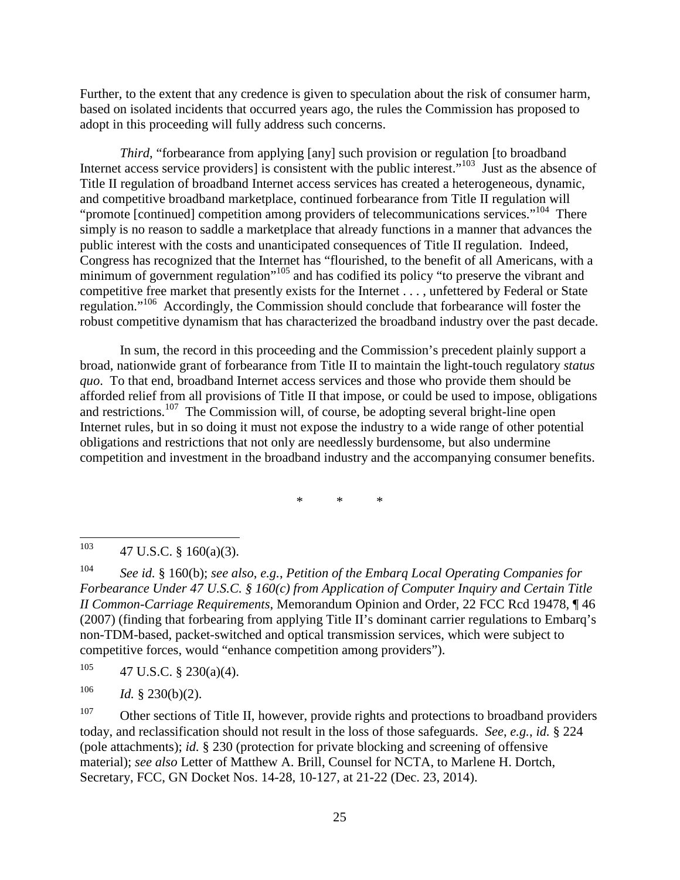Further, to the extent that any credence is given to speculation about the risk of consumer harm, based on isolated incidents that occurred years ago, the rules the Commission has proposed to adopt in this proceeding will fully address such concerns.

*Third*, "forbearance from applying [any] such provision or regulation [to broadband] Internet access service providers] is consistent with the public interest."<sup>103</sup> Just as the absence of Title II regulation of broadband Internet access services has created a heterogeneous, dynamic, and competitive broadband marketplace, continued forbearance from Title II regulation will "promote [continued] competition among providers of telecommunications services."<sup>104</sup> There simply is no reason to saddle a marketplace that already functions in a manner that advances the public interest with the costs and unanticipated consequences of Title II regulation. Indeed, Congress has recognized that the Internet has "flourished, to the benefit of all Americans, with a minimum of government regulation"<sup>105</sup> and has codified its policy "to preserve the vibrant and competitive free market that presently exists for the Internet . . . , unfettered by Federal or State regulation."<sup>106</sup> Accordingly, the Commission should conclude that forbearance will foster the robust competitive dynamism that has characterized the broadband industry over the past decade.

In sum, the record in this proceeding and the Commission's precedent plainly support a broad, nationwide grant of forbearance from Title II to maintain the light-touch regulatory *status quo*. To that end, broadband Internet access services and those who provide them should be afforded relief from all provisions of Title II that impose, or could be used to impose, obligations and restrictions.<sup>107</sup> The Commission will, of course, be adopting several bright-line open Internet rules, but in so doing it must not expose the industry to a wide range of other potential obligations and restrictions that not only are needlessly burdensome, but also undermine competition and investment in the broadband industry and the accompanying consumer benefits.

\* \* \*

104 *See id.* § 160(b); *see also*, *e.g.*, *Petition of the Embarq Local Operating Companies for Forbearance Under 47 U.S.C. § 160(c) from Application of Computer Inquiry and Certain Title II Common-Carriage Requirements*, Memorandum Opinion and Order, 22 FCC Rcd 19478, ¶ 46 (2007) (finding that forbearing from applying Title II's dominant carrier regulations to Embarq's non-TDM-based, packet-switched and optical transmission services, which were subject to competitive forces, would "enhance competition among providers").

 $105$  47 U.S.C. § 230(a)(4).

106 *Id.* § 230(b)(2).

<sup>107</sup> Other sections of Title II, however, provide rights and protections to broadband providers today, and reclassification should not result in the loss of those safeguards. *See*, *e.g.*, *id.* § 224 (pole attachments); *id.* § 230 (protection for private blocking and screening of offensive material); *see also* Letter of Matthew A. Brill, Counsel for NCTA, to Marlene H. Dortch, Secretary, FCC, GN Docket Nos. 14-28, 10-127, at 21-22 (Dec. 23, 2014).

<sup>103</sup> <sup>103</sup> 47 U.S.C. § 160(a)(3).